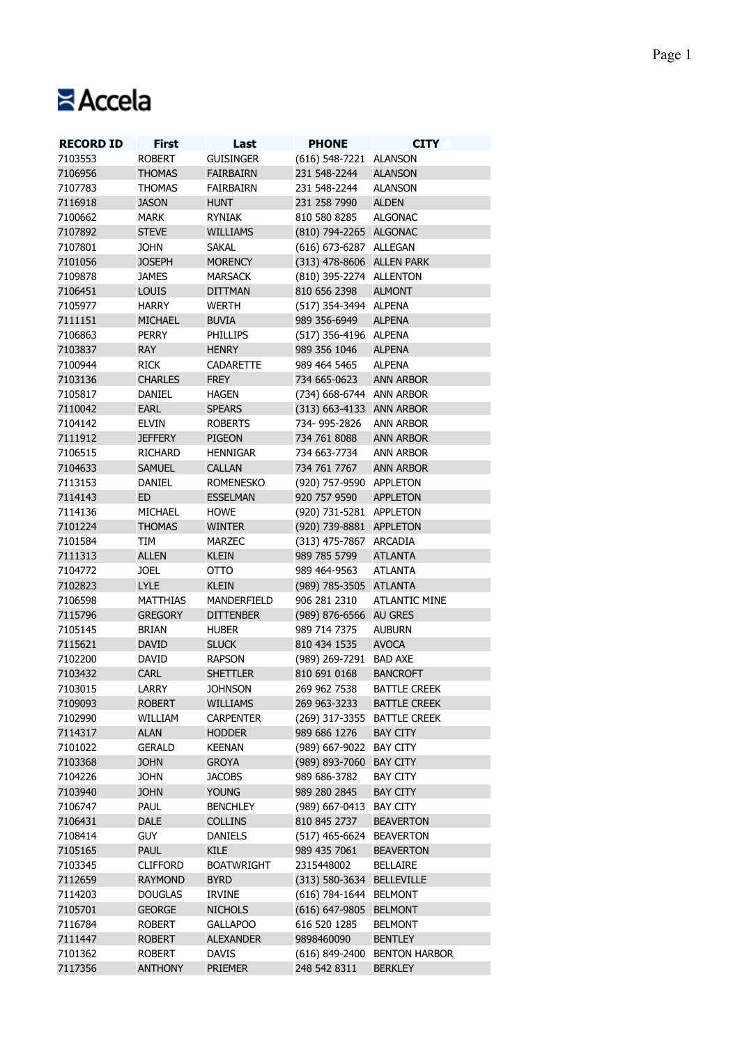## **Accela**

| <b>RECORD ID</b> | <b>First</b>    | Last              | <b>PHONE</b>                | <b>CITY</b>                  |
|------------------|-----------------|-------------------|-----------------------------|------------------------------|
| 7103553          | <b>ROBERT</b>   | <b>GUISINGER</b>  | (616) 548-7221 ALANSON      |                              |
| 7106956          | <b>THOMAS</b>   | <b>FAIRBAIRN</b>  | 231 548-2244                | <b>ALANSON</b>               |
| 7107783          | <b>THOMAS</b>   | FAIRBAIRN         | 231 548-2244                | <b>ALANSON</b>               |
| 7116918          | <b>JASON</b>    | <b>HUNT</b>       | 231 258 7990                | <b>ALDEN</b>                 |
| 7100662          | MARK            | <b>RYNIAK</b>     | 810 580 8285                | <b>ALGONAC</b>               |
| 7107892          | <b>STEVE</b>    | <b>WILLIAMS</b>   | (810) 794-2265 ALGONAC      |                              |
| 7107801          | <b>JOHN</b>     | <b>SAKAL</b>      | (616) 673-6287 ALLEGAN      |                              |
| 7101056          | <b>JOSEPH</b>   | <b>MORENCY</b>    | (313) 478-8606 ALLEN PARK   |                              |
| 7109878          | <b>JAMES</b>    | <b>MARSACK</b>    | (810) 395-2274 ALLENTON     |                              |
| 7106451          | <b>LOUIS</b>    | <b>DITTMAN</b>    | 810 656 2398                | <b>ALMONT</b>                |
| 7105977          |                 |                   |                             |                              |
|                  | <b>HARRY</b>    | <b>WERTH</b>      | (517) 354-3494 ALPENA       |                              |
| 7111151          | <b>MICHAEL</b>  | <b>BUVIA</b>      | 989 356-6949                | <b>ALPENA</b>                |
| 7106863          | <b>PERRY</b>    | <b>PHILLIPS</b>   | (517) 356-4196 ALPENA       |                              |
| 7103837          | <b>RAY</b>      | <b>HENRY</b>      | 989 356 1046                | <b>ALPENA</b>                |
| 7100944          | <b>RICK</b>     | <b>CADARETTE</b>  | 989 464 5465                | <b>ALPENA</b>                |
| 7103136          | <b>CHARLES</b>  | <b>FREY</b>       | 734 665-0623                | <b>ANN ARBOR</b>             |
| 7105817          | DANIEL          | <b>HAGEN</b>      | (734) 668-6744 ANN ARBOR    |                              |
| 7110042          | EARL            | <b>SPEARS</b>     | (313) 663-4133 ANN ARBOR    |                              |
| 7104142          | <b>ELVIN</b>    | <b>ROBERTS</b>    | 734-995-2826                | <b>ANN ARBOR</b>             |
| 7111912          | <b>JEFFERY</b>  | PIGEON            | 734 761 8088                | <b>ANN ARBOR</b>             |
| 7106515          | <b>RICHARD</b>  | <b>HENNIGAR</b>   | 734 663-7734                | <b>ANN ARBOR</b>             |
| 7104633          | <b>SAMUEL</b>   | <b>CALLAN</b>     | 734 761 7767                | <b>ANN ARBOR</b>             |
| 7113153          | DANIEL          | <b>ROMENESKO</b>  | (920) 757-9590 APPLETON     |                              |
| 7114143          | ED              | <b>ESSELMAN</b>   | 920 757 9590                | <b>APPLETON</b>              |
| 7114136          | MICHAEL         | <b>HOWE</b>       | (920) 731-5281 APPLETON     |                              |
| 7101224          | <b>THOMAS</b>   | <b>WINTER</b>     | (920) 739-8881 APPLETON     |                              |
| 7101584          | TIM             | MARZEC            | (313) 475-7867 ARCADIA      |                              |
| 7111313          | <b>ALLEN</b>    | <b>KLEIN</b>      | 989 785 5799                | <b>ATLANTA</b>               |
|                  |                 |                   |                             |                              |
| 7104772          | <b>JOEL</b>     | <b>OTTO</b>       | 989 464-9563                | <b>ATLANTA</b>               |
| 7102823          | <b>LYLE</b>     | <b>KLEIN</b>      | (989) 785-3505 ATLANTA      |                              |
| 7106598          | <b>MATTHIAS</b> | MANDERFIELD       | 906 281 2310                | <b>ATLANTIC MINE</b>         |
| 7115796          | <b>GREGORY</b>  | <b>DITTENBER</b>  | (989) 876-6566 AU GRES      |                              |
| 7105145          | <b>BRIAN</b>    | <b>HUBER</b>      | 989 714 7375                | <b>AUBURN</b>                |
| 7115621          | <b>DAVID</b>    | <b>SLUCK</b>      | 810 434 1535                | <b>AVOCA</b>                 |
| 7102200          | DAVID           | <b>RAPSON</b>     | (989) 269-7291 BAD AXE      |                              |
| 7103432          | <b>CARL</b>     | <b>SHETTLER</b>   | 810 691 0168                | <b>BANCROFT</b>              |
| 7103015          | LARRY           | <b>JOHNSON</b>    | 269 962 7538                | <b>BATTLE CREEK</b>          |
| 7109093          | <b>ROBERT</b>   | <b>WILLIAMS</b>   | 269 963-3233                | <b>BATTLE CREEK</b>          |
| 7102990          | WILLIAM         | <b>CARPENTER</b>  | (269) 317-3355 BATTLE CREEK |                              |
| 7114317          | <b>ALAN</b>     | <b>HODDER</b>     | 989 686 1276                | <b>BAY CITY</b>              |
| 7101022          | <b>GERALD</b>   | <b>KEENAN</b>     | (989) 667-9022 BAY CITY     |                              |
| 7103368          | <b>JOHN</b>     | <b>GROYA</b>      | (989) 893-7060 BAY CITY     |                              |
| 7104226          | <b>JOHN</b>     | <b>JACOBS</b>     | 989 686-3782                | <b>BAY CITY</b>              |
| 7103940          | <b>JOHN</b>     | <b>YOUNG</b>      | 989 280 2845                |                              |
|                  |                 |                   |                             | <b>BAY CITY</b>              |
| 7106747          | <b>PAUL</b>     | <b>BENCHLEY</b>   | (989) 667-0413 BAY CITY     |                              |
| 7106431          | DALE            | <b>COLLINS</b>    | 810 845 2737                | <b>BEAVERTON</b>             |
| 7108414          | <b>GUY</b>      | <b>DANIELS</b>    | (517) 465-6624 BEAVERTON    |                              |
| 7105165          | <b>PAUL</b>     | <b>KILE</b>       | 989 435 7061                | <b>BEAVERTON</b>             |
| 7103345          | <b>CLIFFORD</b> | <b>BOATWRIGHT</b> | 2315448002                  | <b>BELLAIRE</b>              |
| 7112659          | <b>RAYMOND</b>  | <b>BYRD</b>       | (313) 580-3634 BELLEVILLE   |                              |
| 7114203          | <b>DOUGLAS</b>  | <b>IRVINE</b>     | (616) 784-1644 BELMONT      |                              |
| 7105701          | <b>GEORGE</b>   | <b>NICHOLS</b>    | (616) 647-9805 BELMONT      |                              |
| 7116784          | <b>ROBERT</b>   | <b>GALLAPOO</b>   | 616 520 1285                | <b>BELMONT</b>               |
| 7111447          | <b>ROBERT</b>   | <b>ALEXANDER</b>  | 9898460090                  | <b>BENTLEY</b>               |
| 7101362          | <b>ROBERT</b>   | <b>DAVIS</b>      |                             | (616) 849-2400 BENTON HARBOR |
| 7117356          | <b>ANTHONY</b>  | <b>PRIEMER</b>    | 248 542 8311                | <b>BERKLEY</b>               |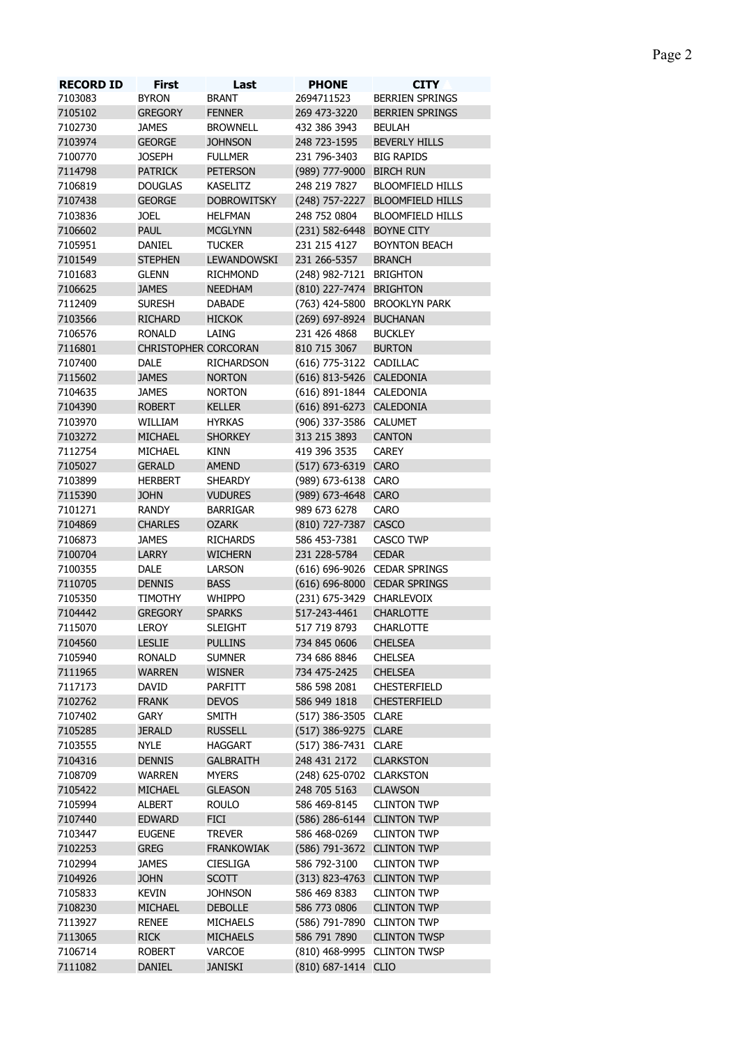| <b>RECORD ID</b> | First                       | Last               | <b>PHONE</b>                | <b>CITY</b>                     |
|------------------|-----------------------------|--------------------|-----------------------------|---------------------------------|
| 7103083          | <b>BYRON</b>                | <b>BRANT</b>       | 2694711523                  | <b>BERRIEN SPRINGS</b>          |
| 7105102          | <b>GREGORY</b>              | <b>FENNER</b>      | 269 473-3220                | BERRIEN SPRINGS                 |
| 7102730          | <b>JAMES</b>                | <b>BROWNELL</b>    | 432 386 3943                | <b>BEULAH</b>                   |
| 7103974          | <b>GEORGE</b>               | <b>JOHNSON</b>     | 248 723-1595                | <b>BEVERLY HILLS</b>            |
| 7100770          | <b>JOSEPH</b>               | <b>FULLMER</b>     | 231 796-3403                | <b>BIG RAPIDS</b>               |
| 7114798          | <b>PATRICK</b>              | <b>PETERSON</b>    | (989) 777-9000 BIRCH RUN    |                                 |
| 7106819          | <b>DOUGLAS</b>              | KASELITZ           | 248 219 7827                | <b>BLOOMFIELD HILLS</b>         |
| 7107438          | <b>GEORGE</b>               | <b>DOBROWITSKY</b> |                             | (248) 757-2227 BLOOMFIELD HILLS |
| 7103836          | <b>JOEL</b>                 | <b>HELFMAN</b>     | 248 752 0804                | <b>BLOOMFIELD HILLS</b>         |
| 7106602          | <b>PAUL</b>                 | <b>MCGLYNN</b>     | (231) 582-6448 BOYNE CITY   |                                 |
| 7105951          | DANIEL                      | <b>TUCKER</b>      | 231 215 4127                | <b>BOYNTON BEACH</b>            |
| 7101549          | <b>STEPHEN</b>              | LEWANDOWSKI        | 231 266-5357                | <b>BRANCH</b>                   |
| 7101683          | <b>GLENN</b>                | <b>RICHMOND</b>    | (248) 982-7121 BRIGHTON     |                                 |
| 7106625          | <b>JAMES</b>                | <b>NEEDHAM</b>     | (810) 227-7474 BRIGHTON     |                                 |
| 7112409          | <b>SURESH</b>               | <b>DABADE</b>      |                             | (763) 424-5800 BROOKLYN PARK    |
| 7103566          | <b>RICHARD</b>              | <b>HICKOK</b>      | (269) 697-8924 BUCHANAN     |                                 |
| 7106576          | <b>RONALD</b>               | LAING              | 231 426 4868                | <b>BUCKLEY</b>                  |
| 7116801          | <b>CHRISTOPHER CORCORAN</b> |                    | 810 715 3067                | <b>BURTON</b>                   |
| 7107400          | <b>DALE</b>                 | <b>RICHARDSON</b>  | (616) 775-3122 CADILLAC     |                                 |
|                  |                             | <b>NORTON</b>      |                             |                                 |
| 7115602          | <b>JAMES</b>                |                    | (616) 813-5426 CALEDONIA    |                                 |
| 7104635          | <b>JAMES</b>                | <b>NORTON</b>      | (616) 891-1844 CALEDONIA    |                                 |
| 7104390          | <b>ROBERT</b>               | <b>KELLER</b>      | (616) 891-6273 CALEDONIA    |                                 |
| 7103970          | WILLIAM                     | <b>HYRKAS</b>      | (906) 337-3586 CALUMET      |                                 |
| 7103272          | <b>MICHAEL</b>              | <b>SHORKEY</b>     | 313 215 3893                | <b>CANTON</b>                   |
| 7112754          | MICHAEL                     | <b>KINN</b>        | 419 396 3535                | <b>CAREY</b>                    |
| 7105027          | <b>GERALD</b>               | <b>AMEND</b>       | (517) 673-6319 CARO         |                                 |
| 7103899          | <b>HERBERT</b>              | <b>SHEARDY</b>     | (989) 673-6138 CARO         |                                 |
| 7115390          | <b>JOHN</b>                 | <b>VUDURES</b>     | (989) 673-4648 CARO         |                                 |
| 7101271          | <b>RANDY</b>                | <b>BARRIGAR</b>    | 989 673 6278                | <b>CARO</b>                     |
| 7104869          | <b>CHARLES</b>              | <b>OZARK</b>       | (810) 727-7387 CASCO        |                                 |
| 7106873          | <b>JAMES</b>                | <b>RICHARDS</b>    | 586 453-7381                | CASCO TWP                       |
| 7100704          | <b>LARRY</b>                | <b>WICHERN</b>     | 231 228-5784                | <b>CEDAR</b>                    |
| 7100355          | DALE                        | <b>LARSON</b>      |                             | (616) 696-9026 CEDAR SPRINGS    |
| 7110705          | <b>DENNIS</b>               | <b>BASS</b>        |                             | (616) 696-8000 CEDAR SPRINGS    |
| 7105350          | <b>TIMOTHY</b>              | <b>WHIPPO</b>      | (231) 675-3429 CHARLEVOIX   |                                 |
| 7104442          | <b>GREGORY</b>              | <b>SPARKS</b>      | 517-243-4461                | <b>CHARLOTTE</b>                |
| 7115070          | <b>LEROY</b>                | <b>SLEIGHT</b>     | 517 719 8793                | <b>CHARLOTTE</b>                |
| 7104560          | <b>LESLIE</b>               | <b>PULLINS</b>     | 734 845 0606                | <b>CHELSEA</b>                  |
| 7105940          | <b>RONALD</b>               | <b>SUMNER</b>      | 734 686 8846                | <b>CHELSEA</b>                  |
| 7111965          | <b>WARREN</b>               | <b>WISNER</b>      | 734 475-2425                | <b>CHELSEA</b>                  |
|                  |                             |                    |                             |                                 |
| 7117173          | DAVID                       | PARFITT            | 586 598 2081                | <b>CHESTERFIELD</b>             |
| 7102762          | <b>FRANK</b>                | <b>DEVOS</b>       | 586 949 1818                | <b>CHESTERFIELD</b>             |
| 7107402          | GARY                        | <b>SMITH</b>       | (517) 386-3505 CLARE        |                                 |
| 7105285          | <b>JERALD</b>               | <b>RUSSELL</b>     | (517) 386-9275 CLARE        |                                 |
| 7103555          | <b>NYLE</b>                 | <b>HAGGART</b>     | (517) 386-7431 CLARE        |                                 |
| 7104316          | <b>DENNIS</b>               | <b>GALBRAITH</b>   | 248 431 2172                | <b>CLARKSTON</b>                |
| 7108709          | <b>WARREN</b>               | <b>MYERS</b>       | (248) 625-0702 CLARKSTON    |                                 |
| 7105422          | <b>MICHAEL</b>              | <b>GLEASON</b>     | 248 705 5163                | <b>CLAWSON</b>                  |
| 7105994          | <b>ALBERT</b>               | <b>ROULO</b>       | 586 469-8145                | <b>CLINTON TWP</b>              |
| 7107440          | <b>EDWARD</b>               | <b>FICI</b>        | (586) 286-6144 CLINTON TWP  |                                 |
| 7103447          | <b>EUGENE</b>               | <b>TREVER</b>      | 586 468-0269                | <b>CLINTON TWP</b>              |
| 7102253          | <b>GREG</b>                 | <b>FRANKOWIAK</b>  | (586) 791-3672 CLINTON TWP  |                                 |
| 7102994          | <b>JAMES</b>                | <b>CIESLIGA</b>    | 586 792-3100                | <b>CLINTON TWP</b>              |
| 7104926          | <b>JOHN</b>                 | <b>SCOTT</b>       | (313) 823-4763 CLINTON TWP  |                                 |
| 7105833          | <b>KEVIN</b>                | <b>JOHNSON</b>     | 586 469 8383                | <b>CLINTON TWP</b>              |
| 7108230          | <b>MICHAEL</b>              | <b>DEBOLLE</b>     | 586 773 0806                | <b>CLINTON TWP</b>              |
| 7113927          | <b>RENEE</b>                | <b>MICHAELS</b>    | (586) 791-7890 CLINTON TWP  |                                 |
| 7113065          | <b>RICK</b>                 | <b>MICHAELS</b>    | 586 791 7890                | <b>CLINTON TWSP</b>             |
| 7106714          | <b>ROBERT</b>               | VARCOE             | (810) 468-9995 CLINTON TWSP |                                 |
| 7111082          | <b>DANIEL</b>               | <b>JANISKI</b>     | (810) 687-1414 CLIO         |                                 |
|                  |                             |                    |                             |                                 |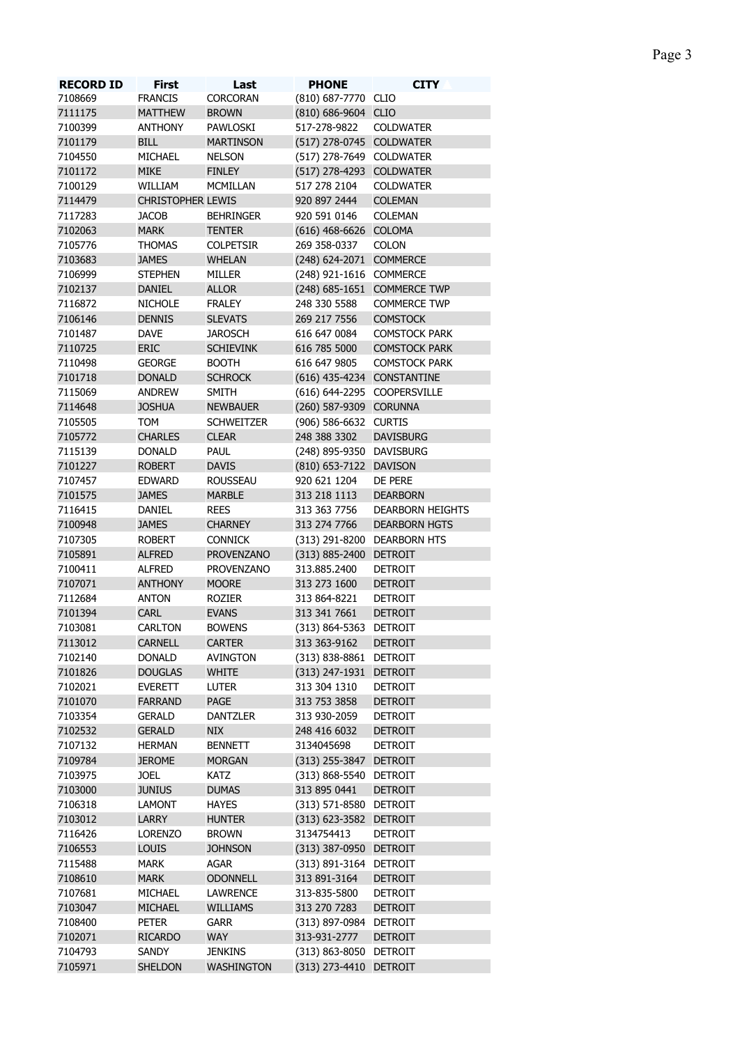|--|--|

| <b>RECORD ID</b> | <b>First</b>             | Last              | <b>PHONE</b>                | <b>CITY</b>                 |
|------------------|--------------------------|-------------------|-----------------------------|-----------------------------|
| 7108669          | <b>FRANCIS</b>           | CORCORAN          | (810) 687-7770 CLIO         |                             |
| 7111175          | <b>MATTHEW</b>           | <b>BROWN</b>      | (810) 686-9604 CLIO         |                             |
| 7100399          | <b>ANTHONY</b>           | PAWLOSKI          | 517-278-9822                | <b>COLDWATER</b>            |
| 7101179          | <b>BILL</b>              | <b>MARTINSON</b>  | (517) 278-0745 COLDWATER    |                             |
| 7104550          | MICHAEL                  | <b>NELSON</b>     | (517) 278-7649 COLDWATER    |                             |
| 7101172          | <b>MIKE</b>              | <b>FINLEY</b>     | (517) 278-4293 COLDWATER    |                             |
| 7100129          | WILLIAM                  | <b>MCMILLAN</b>   | 517 278 2104                | <b>COLDWATER</b>            |
| 7114479          | <b>CHRISTOPHER LEWIS</b> |                   | 920 897 2444                | <b>COLEMAN</b>              |
| 7117283          | <b>JACOB</b>             | <b>BEHRINGER</b>  | 920 591 0146                | <b>COLEMAN</b>              |
| 7102063          | <b>MARK</b>              | <b>TENTER</b>     | (616) 468-6626 COLOMA       |                             |
| 7105776          | <b>THOMAS</b>            | <b>COLPETSIR</b>  | 269 358-0337                | COLON                       |
| 7103683          | <b>JAMES</b>             | <b>WHELAN</b>     | (248) 624-2071 COMMERCE     |                             |
| 7106999          | <b>STEPHEN</b>           | MILLER            | (248) 921-1616 COMMERCE     |                             |
| 7102137          | <b>DANIEL</b>            | <b>ALLOR</b>      |                             | (248) 685-1651 COMMERCE TWP |
| 7116872          | <b>NICHOLE</b>           | <b>FRALEY</b>     | 248 330 5588                | <b>COMMERCE TWP</b>         |
| 7106146          | <b>DENNIS</b>            | <b>SLEVATS</b>    | 269 217 7556                | <b>COMSTOCK</b>             |
| 7101487          | <b>DAVE</b>              | <b>JAROSCH</b>    | 616 647 0084                | <b>COMSTOCK PARK</b>        |
| 7110725          | <b>ERIC</b>              | <b>SCHIEVINK</b>  | 616 785 5000                | <b>COMSTOCK PARK</b>        |
| 7110498          | <b>GEORGE</b>            | <b>BOOTH</b>      | 616 647 9805                | <b>COMSTOCK PARK</b>        |
| 7101718          | <b>DONALD</b>            | <b>SCHROCK</b>    | (616) 435-4234 CONSTANTINE  |                             |
|                  |                          |                   |                             |                             |
| 7115069          | <b>ANDREW</b>            | <b>SMITH</b>      | (616) 644-2295 COOPERSVILLE |                             |
| 7114648          | <b>JOSHUA</b>            | <b>NEWBAUER</b>   | (260) 587-9309 CORUNNA      |                             |
| 7105505          | <b>TOM</b>               | <b>SCHWEITZER</b> | (906) 586-6632 CURTIS       |                             |
| 7105772          | <b>CHARLES</b>           | <b>CLEAR</b>      | 248 388 3302                | <b>DAVISBURG</b>            |
| 7115139          | <b>DONALD</b>            | PAUL              | (248) 895-9350 DAVISBURG    |                             |
| 7101227          | <b>ROBERT</b>            | <b>DAVIS</b>      | (810) 653-7122 DAVISON      |                             |
| 7107457          | <b>EDWARD</b>            | <b>ROUSSEAU</b>   | 920 621 1204                | DE PERE                     |
| 7101575          | <b>JAMES</b>             | <b>MARBLE</b>     | 313 218 1113                | <b>DEARBORN</b>             |
| 7116415          | DANIEL                   | <b>REES</b>       | 313 363 7756                | <b>DEARBORN HEIGHTS</b>     |
| 7100948          | <b>JAMES</b>             | <b>CHARNEY</b>    | 313 274 7766                | <b>DEARBORN HGTS</b>        |
| 7107305          | <b>ROBERT</b>            | <b>CONNICK</b>    | (313) 291-8200 DEARBORN HTS |                             |
| 7105891          | <b>ALFRED</b>            | <b>PROVENZANO</b> | (313) 885-2400 DETROIT      |                             |
| 7100411          | <b>ALFRED</b>            | <b>PROVENZANO</b> | 313.885.2400                | <b>DETROIT</b>              |
| 7107071          | <b>ANTHONY</b>           | <b>MOORE</b>      | 313 273 1600                | <b>DETROIT</b>              |
| 7112684          | <b>ANTON</b>             | <b>ROZIER</b>     | 313 864-8221                | <b>DETROIT</b>              |
| 7101394          | <b>CARL</b>              | <b>EVANS</b>      | 313 341 7661                | <b>DETROIT</b>              |
| 7103081          | <b>CARLTON</b>           | <b>BOWENS</b>     | (313) 864-5363 DETROIT      |                             |
| 7113012          | <b>CARNELL</b>           | <b>CARTER</b>     | 313 363-9162                | <b>DETROIT</b>              |
| 7102140          | <b>DONALD</b>            | AVINGTON          | (313) 838-8861 DETROIT      |                             |
| 7101826          | <b>DOUGLAS</b>           | <b>WHITE</b>      | (313) 247-1931 DETROIT      |                             |
| 7102021          | EVERETT                  | LUTER             | 313 304 1310                | <b>DETROIT</b>              |
| 7101070          | <b>FARRAND</b>           | PAGE              | 313 753 3858                | <b>DETROIT</b>              |
| 7103354          | <b>GERALD</b>            | <b>DANTZLER</b>   | 313 930-2059                | <b>DETROIT</b>              |
| 7102532          | <b>GERALD</b>            | <b>NIX</b>        | 248 416 6032                | <b>DETROIT</b>              |
| 7107132          | <b>HERMAN</b>            | <b>BENNETT</b>    | 3134045698                  | <b>DETROIT</b>              |
| 7109784          | <b>JEROME</b>            | <b>MORGAN</b>     | (313) 255-3847 DETROIT      |                             |
| 7103975          | <b>JOEL</b>              | <b>KATZ</b>       | (313) 868-5540 DETROIT      |                             |
| 7103000          | <b>JUNIUS</b>            | <b>DUMAS</b>      | 313 895 0441                | <b>DETROIT</b>              |
| 7106318          | <b>LAMONT</b>            | <b>HAYES</b>      | (313) 571-8580 DETROIT      |                             |
|                  |                          |                   |                             |                             |
| 7103012          | LARRY                    | <b>HUNTER</b>     | (313) 623-3582 DETROIT      |                             |
| 7116426          | <b>LORENZO</b>           | <b>BROWN</b>      | 3134754413                  | <b>DETROIT</b>              |
| 7106553          | <b>LOUIS</b>             | <b>JOHNSON</b>    | (313) 387-0950 DETROIT      |                             |
| 7115488          | <b>MARK</b>              | AGAR              | (313) 891-3164 DETROIT      |                             |
| 7108610          | <b>MARK</b>              | <b>ODONNELL</b>   | 313 891-3164                | <b>DETROIT</b>              |
| 7107681          | MICHAEL                  | <b>LAWRENCE</b>   | 313-835-5800                | <b>DETROIT</b>              |
| 7103047          | <b>MICHAEL</b>           | <b>WILLIAMS</b>   | 313 270 7283                | <b>DETROIT</b>              |
| 7108400          | <b>PETER</b>             | <b>GARR</b>       | (313) 897-0984 DETROIT      |                             |
| 7102071          | <b>RICARDO</b>           | <b>WAY</b>        | 313-931-2777                | <b>DETROIT</b>              |
| 7104793          | SANDY                    | <b>JENKINS</b>    | (313) 863-8050 DETROIT      |                             |
| 7105971          | <b>SHELDON</b>           | WASHINGTON        | (313) 273-4410 DETROIT      |                             |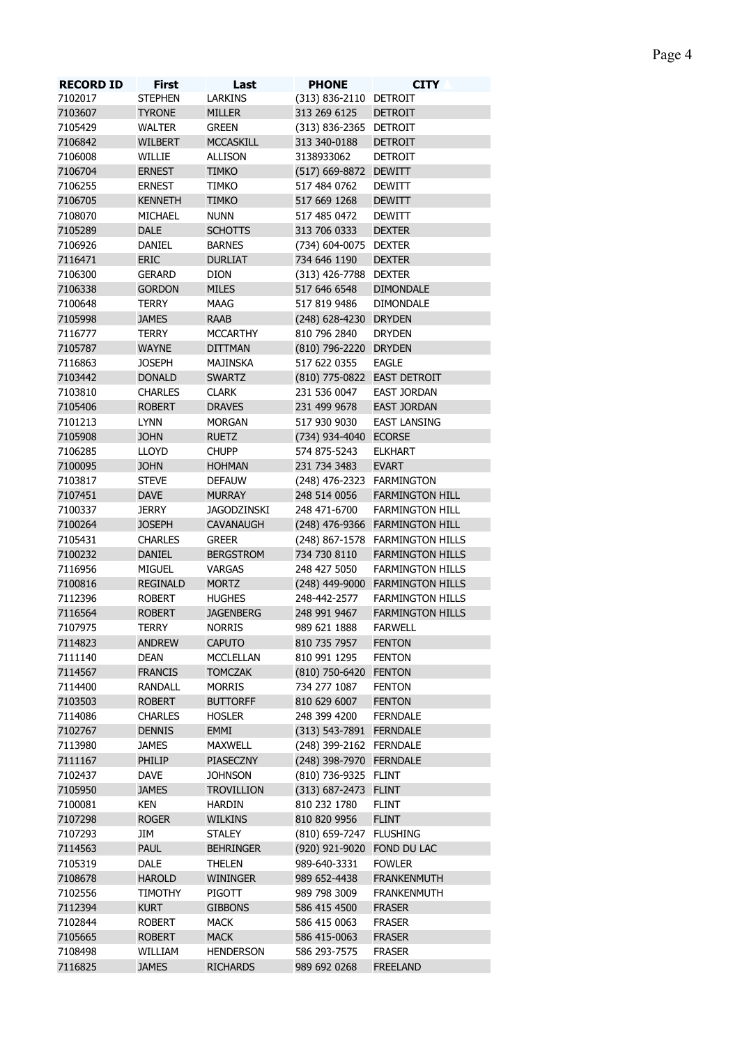| <b>RECORD ID</b> | <b>First</b>    | Last               | <b>PHONE</b>                | <b>CITY</b>                     |
|------------------|-----------------|--------------------|-----------------------------|---------------------------------|
| 7102017          | <b>STEPHEN</b>  | <b>LARKINS</b>     | (313) 836-2110 DETROIT      |                                 |
| 7103607          | <b>TYRONE</b>   | <b>MILLER</b>      | 313 269 6125                | <b>DETROIT</b>                  |
| 7105429          | <b>WALTER</b>   | <b>GREEN</b>       | (313) 836-2365 DETROIT      |                                 |
| 7106842          | <b>WILBERT</b>  | <b>MCCASKILL</b>   | 313 340-0188                | <b>DETROIT</b>                  |
| 7106008          | WILLIE          | <b>ALLISON</b>     | 3138933062                  | <b>DETROIT</b>                  |
| 7106704          | <b>ERNEST</b>   | <b>TIMKO</b>       | (517) 669-8872 DEWITT       |                                 |
| 7106255          | <b>ERNEST</b>   | <b>TIMKO</b>       | 517 484 0762                | <b>DEWITT</b>                   |
| 7106705          | <b>KENNETH</b>  | <b>TIMKO</b>       | 517 669 1268                | <b>DEWITT</b>                   |
| 7108070          | MICHAEL         | <b>NUNN</b>        | 517 485 0472                | <b>DEWITT</b>                   |
| 7105289          | <b>DALE</b>     | <b>SCHOTTS</b>     | 313 706 0333                | <b>DEXTER</b>                   |
| 7106926          | DANIEL          | <b>BARNES</b>      | (734) 604-0075 DEXTER       |                                 |
| 7116471          | ERIC            | <b>DURLIAT</b>     | 734 646 1190                | <b>DEXTER</b>                   |
| 7106300          | <b>GERARD</b>   | <b>DION</b>        | (313) 426-7788 DEXTER       |                                 |
| 7106338          | <b>GORDON</b>   | <b>MILES</b>       | 517 646 6548                | <b>DIMONDALE</b>                |
| 7100648          | <b>TERRY</b>    | <b>MAAG</b>        | 517 819 9486                | <b>DIMONDALE</b>                |
| 7105998          | <b>JAMES</b>    | <b>RAAB</b>        | (248) 628-4230 DRYDEN       |                                 |
|                  |                 |                    |                             |                                 |
| 7116777          | <b>TERRY</b>    | <b>MCCARTHY</b>    | 810 796 2840                | <b>DRYDEN</b>                   |
| 7105787          | <b>WAYNE</b>    | <b>DITTMAN</b>     | (810) 796-2220 DRYDEN       |                                 |
| 7116863          | <b>JOSEPH</b>   | MAJINSKA           | 517 622 0355                | <b>EAGLE</b>                    |
| 7103442          | <b>DONALD</b>   | <b>SWARTZ</b>      | (810) 775-0822 EAST DETROIT |                                 |
| 7103810          | <b>CHARLES</b>  | <b>CLARK</b>       | 231 536 0047                | EAST JORDAN                     |
| 7105406          | <b>ROBERT</b>   | <b>DRAVES</b>      | 231 499 9678                | <b>EAST JORDAN</b>              |
| 7101213          | <b>LYNN</b>     | <b>MORGAN</b>      | 517 930 9030                | <b>EAST LANSING</b>             |
| 7105908          | <b>JOHN</b>     | <b>RUETZ</b>       | (734) 934-4040 ECORSE       |                                 |
| 7106285          | <b>LLOYD</b>    | <b>CHUPP</b>       | 574 875-5243                | <b>ELKHART</b>                  |
| 7100095          | <b>JOHN</b>     | <b>HOHMAN</b>      | 231 734 3483                | <b>EVART</b>                    |
| 7103817          | <b>STEVE</b>    | <b>DEFAUW</b>      | (248) 476-2323 FARMINGTON   |                                 |
| 7107451          | <b>DAVE</b>     | <b>MURRAY</b>      | 248 514 0056                | <b>FARMINGTON HILL</b>          |
| 7100337          | <b>JERRY</b>    | <b>JAGODZINSKI</b> | 248 471-6700                | <b>FARMINGTON HILL</b>          |
| 7100264          | <b>JOSEPH</b>   | <b>CAVANAUGH</b>   |                             | (248) 476-9366 FARMINGTON HILL  |
| 7105431          | <b>CHARLES</b>  | <b>GREER</b>       |                             | (248) 867-1578 FARMINGTON HILLS |
| 7100232          | <b>DANIEL</b>   | <b>BERGSTROM</b>   | 734 730 8110                | <b>FARMINGTON HILLS</b>         |
| 7116956          | <b>MIGUEL</b>   | <b>VARGAS</b>      | 248 427 5050                | <b>FARMINGTON HILLS</b>         |
| 7100816          | <b>REGINALD</b> | <b>MORTZ</b>       |                             | (248) 449-9000 FARMINGTON HILLS |
| 7112396          | <b>ROBERT</b>   | <b>HUGHES</b>      | 248-442-2577                | <b>FARMINGTON HILLS</b>         |
| 7116564          | <b>ROBERT</b>   | <b>JAGENBERG</b>   | 248 991 9467                | <b>FARMINGTON HILLS</b>         |
|                  |                 |                    |                             |                                 |
| 7107975          | <b>TERRY</b>    | <b>NORRIS</b>      | 989 621 1888                | <b>FARWELL</b>                  |
| 7114823          | <b>ANDREW</b>   | <b>CAPUTO</b>      | 810 735 7957                | <b>FENTON</b>                   |
| 7111140          | <b>DEAN</b>     | MCCLELLAN          | 810 991 1295                | <b>FENTON</b>                   |
| 7114567          | <b>FRANCIS</b>  | <b>TOMCZAK</b>     | (810) 750-6420 FENTON       |                                 |
| 7114400          | <b>RANDALL</b>  | <b>MORRIS</b>      | 734 277 1087                | <b>FENTON</b>                   |
| 7103503          | <b>ROBERT</b>   | <b>BUTTORFF</b>    | 810 629 6007                | <b>FENTON</b>                   |
| 7114086          | <b>CHARLES</b>  | <b>HOSLER</b>      | 248 399 4200                | <b>FERNDALE</b>                 |
| 7102767          | <b>DENNIS</b>   | EMMI               | (313) 543-7891 FERNDALE     |                                 |
| 7113980          | <b>JAMES</b>    | <b>MAXWELL</b>     | (248) 399-2162 FERNDALE     |                                 |
| 7111167          | PHILIP          | PIASECZNY          | (248) 398-7970 FERNDALE     |                                 |
| 7102437          | DAVE            | <b>JOHNSON</b>     | (810) 736-9325 FLINT        |                                 |
| 7105950          | <b>JAMES</b>    | <b>TROVILLION</b>  | (313) 687-2473 FLINT        |                                 |
| 7100081          | <b>KEN</b>      | <b>HARDIN</b>      | 810 232 1780                | <b>FLINT</b>                    |
| 7107298          | <b>ROGER</b>    | <b>WILKINS</b>     | 810 820 9956                | <b>FLINT</b>                    |
| 7107293          | JIM             | <b>STALEY</b>      | (810) 659-7247 FLUSHING     |                                 |
| 7114563          | <b>PAUL</b>     | <b>BEHRINGER</b>   | (920) 921-9020 FOND DU LAC  |                                 |
| 7105319          | DALE            | <b>THELEN</b>      | 989-640-3331                | <b>FOWLER</b>                   |
| 7108678          | <b>HAROLD</b>   | <b>WININGER</b>    | 989 652-4438                | <b>FRANKENMUTH</b>              |
| 7102556          | TIMOTHY         | PIGOTT             | 989 798 3009                | <b>FRANKENMUTH</b>              |
| 7112394          | <b>KURT</b>     | <b>GIBBONS</b>     | 586 415 4500                | <b>FRASER</b>                   |
|                  |                 |                    |                             |                                 |
| 7102844          | <b>ROBERT</b>   | <b>MACK</b>        | 586 415 0063                | <b>FRASER</b>                   |
| 7105665          | <b>ROBERT</b>   | <b>MACK</b>        | 586 415-0063                | <b>FRASER</b>                   |
| 7108498          | WILLIAM         | <b>HENDERSON</b>   | 586 293-7575                | <b>FRASER</b>                   |
| 7116825          | <b>JAMES</b>    | <b>RICHARDS</b>    | 989 692 0268                | <b>FREELAND</b>                 |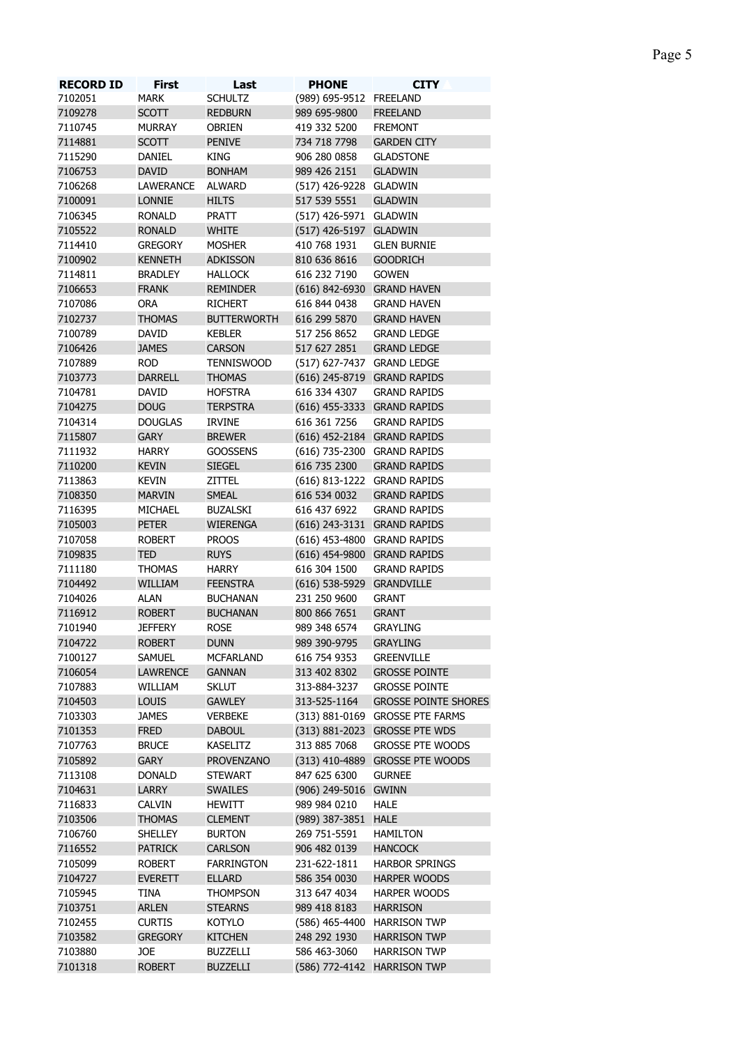| <b>RECORD ID</b> | <b>First</b>    | Last               | <b>PHONE</b>                | <b>CITY</b>                     |
|------------------|-----------------|--------------------|-----------------------------|---------------------------------|
| 7102051          | <b>MARK</b>     | <b>SCHULTZ</b>     | (989) 695-9512 FREELAND     |                                 |
| 7109278          | <b>SCOTT</b>    | <b>REDBURN</b>     | 989 695-9800                | <b>FREELAND</b>                 |
| 7110745          | <b>MURRAY</b>   | <b>OBRIEN</b>      | 419 332 5200                | <b>FREMONT</b>                  |
| 7114881          | <b>SCOTT</b>    | <b>PENIVE</b>      | 734 718 7798                | <b>GARDEN CITY</b>              |
| 7115290          | DANIEL          | KING               | 906 280 0858                | <b>GLADSTONE</b>                |
| 7106753          | <b>DAVID</b>    | <b>BONHAM</b>      | 989 426 2151                | <b>GLADWIN</b>                  |
| 7106268          | LAWERANCE       | ALWARD             | (517) 426-9228 GLADWIN      |                                 |
| 7100091          | LONNIE          | <b>HILTS</b>       | 517 539 5551                | <b>GLADWIN</b>                  |
| 7106345          | <b>RONALD</b>   | PRATT              | (517) 426-5971 GLADWIN      |                                 |
| 7105522          | <b>RONALD</b>   | <b>WHITE</b>       | (517) 426-5197 GLADWIN      |                                 |
| 7114410          | <b>GREGORY</b>  | <b>MOSHER</b>      | 410 768 1931                | <b>GLEN BURNIE</b>              |
| 7100902          | <b>KENNETH</b>  | <b>ADKISSON</b>    | 810 636 8616                | <b>GOODRICH</b>                 |
| 7114811          | <b>BRADLEY</b>  | <b>HALLOCK</b>     | 616 232 7190                | <b>GOWEN</b>                    |
| 7106653          | <b>FRANK</b>    | <b>REMINDER</b>    | (616) 842-6930 GRAND HAVEN  |                                 |
| 7107086          | <b>ORA</b>      | <b>RICHERT</b>     | 616 844 0438                | <b>GRAND HAVEN</b>              |
| 7102737          | <b>THOMAS</b>   | <b>BUTTERWORTH</b> | 616 299 5870                | <b>GRAND HAVEN</b>              |
| 7100789          | <b>DAVID</b>    | <b>KEBLER</b>      | 517 256 8652                | <b>GRAND LEDGE</b>              |
| 7106426          | <b>JAMES</b>    | <b>CARSON</b>      | 517 627 2851                | <b>GRAND LEDGE</b>              |
| 7107889          | <b>ROD</b>      | <b>TENNISWOOD</b>  | (517) 627-7437 GRAND LEDGE  |                                 |
| 7103773          | <b>DARRELL</b>  | <b>THOMAS</b>      | (616) 245-8719 GRAND RAPIDS |                                 |
| 7104781          | <b>DAVID</b>    | <b>HOFSTRA</b>     | 616 334 4307                | <b>GRAND RAPIDS</b>             |
| 7104275          | <b>DOUG</b>     | <b>TERPSTRA</b>    |                             |                                 |
|                  |                 |                    | (616) 455-3333 GRAND RAPIDS |                                 |
| 7104314          | <b>DOUGLAS</b>  | <b>IRVINE</b>      | 616 361 7256                | <b>GRAND RAPIDS</b>             |
| 7115807          | <b>GARY</b>     | <b>BREWER</b>      |                             | (616) 452-2184 GRAND RAPIDS     |
| 7111932          | <b>HARRY</b>    | <b>GOOSSENS</b>    |                             | (616) 735-2300 GRAND RAPIDS     |
| 7110200          | <b>KEVIN</b>    | <b>SIEGEL</b>      | 616 735 2300                | <b>GRAND RAPIDS</b>             |
| 7113863          | <b>KEVIN</b>    | ZITTEL             |                             | (616) 813-1222 GRAND RAPIDS     |
| 7108350          | <b>MARVIN</b>   | <b>SMEAL</b>       | 616 534 0032                | <b>GRAND RAPIDS</b>             |
| 7116395          | MICHAEL         | <b>BUZALSKI</b>    | 616 437 6922                | <b>GRAND RAPIDS</b>             |
| 7105003          | <b>PETER</b>    | <b>WIERENGA</b>    |                             | (616) 243-3131 GRAND RAPIDS     |
| 7107058          | <b>ROBERT</b>   | <b>PROOS</b>       |                             | (616) 453-4800 GRAND RAPIDS     |
| 7109835          | <b>TED</b>      | <b>RUYS</b>        |                             | (616) 454-9800 GRAND RAPIDS     |
| 7111180          | <b>THOMAS</b>   | <b>HARRY</b>       | 616 304 1500                | <b>GRAND RAPIDS</b>             |
| 7104492          | <b>WILLIAM</b>  | <b>FEENSTRA</b>    | (616) 538-5929 GRANDVILLE   |                                 |
| 7104026          | <b>ALAN</b>     | <b>BUCHANAN</b>    | 231 250 9600                | <b>GRANT</b>                    |
| 7116912          | <b>ROBERT</b>   | <b>BUCHANAN</b>    | 800 866 7651                | <b>GRANT</b>                    |
| 7101940          | <b>JEFFERY</b>  | <b>ROSE</b>        | 989 348 6574                | <b>GRAYLING</b>                 |
| 7104722          | <b>ROBERT</b>   | <b>DUNN</b>        | 989 390-9795                | <b>GRAYLING</b>                 |
| 7100127          | <b>SAMUEL</b>   | <b>MCFARLAND</b>   | 616 754 9353                | <b>GREENVILLE</b>               |
| 7106054          | <b>LAWRENCE</b> | <b>GANNAN</b>      | 313 402 8302                | <b>GROSSE POINTE</b>            |
| 7107883          | WILLIAM         | <b>SKLUT</b>       | 313-884-3237                | <b>GROSSE POINTE</b>            |
| 7104503          | <b>LOUIS</b>    | <b>GAWLEY</b>      | 313-525-1164                | <b>GROSSE POINTE SHORES</b>     |
| 7103303          | <b>JAMES</b>    | <b>VERBEKE</b>     |                             | (313) 881-0169 GROSSE PTE FARMS |
| 7101353          | <b>FRED</b>     | <b>DABOUL</b>      |                             | (313) 881-2023 GROSSE PTE WDS   |
| 7107763          | <b>BRUCE</b>    | <b>KASELITZ</b>    | 313 885 7068                | <b>GROSSE PTE WOODS</b>         |
| 7105892          | <b>GARY</b>     | <b>PROVENZANO</b>  |                             | (313) 410-4889 GROSSE PTE WOODS |
| 7113108          | <b>DONALD</b>   | <b>STEWART</b>     | 847 625 6300                | <b>GURNEE</b>                   |
| 7104631          | LARRY           | <b>SWAILES</b>     |                             |                                 |
| 7116833          |                 |                    | (906) 249-5016 GWINN        |                                 |
|                  | <b>CALVIN</b>   | <b>HEWITT</b>      | 989 984 0210                | <b>HALE</b>                     |
| 7103506          | <b>THOMAS</b>   | <b>CLEMENT</b>     | (989) 387-3851 HALE         |                                 |
| 7106760          | <b>SHELLEY</b>  | <b>BURTON</b>      | 269 751-5591                | <b>HAMILTON</b>                 |
| 7116552          | <b>PATRICK</b>  | <b>CARLSON</b>     | 906 482 0139                | <b>HANCOCK</b>                  |
| 7105099          | <b>ROBERT</b>   | <b>FARRINGTON</b>  | 231-622-1811                | <b>HARBOR SPRINGS</b>           |
| 7104727          | <b>EVERETT</b>  | <b>ELLARD</b>      | 586 354 0030                | HARPER WOODS                    |
| 7105945          | <b>TINA</b>     | <b>THOMPSON</b>    | 313 647 4034                | HARPER WOODS                    |
| 7103751          | <b>ARLEN</b>    | <b>STEARNS</b>     | 989 418 8183                | <b>HARRISON</b>                 |
| 7102455          | <b>CURTIS</b>   | KOTYLO             | (586) 465-4400              | <b>HARRISON TWP</b>             |
| 7103582          | <b>GREGORY</b>  | <b>KITCHEN</b>     | 248 292 1930                | <b>HARRISON TWP</b>             |
| 7103880          | JOE             | <b>BUZZELLI</b>    | 586 463-3060                | <b>HARRISON TWP</b>             |

ROBERT BUZZELLI (586) 772-4142 HARRISON TWP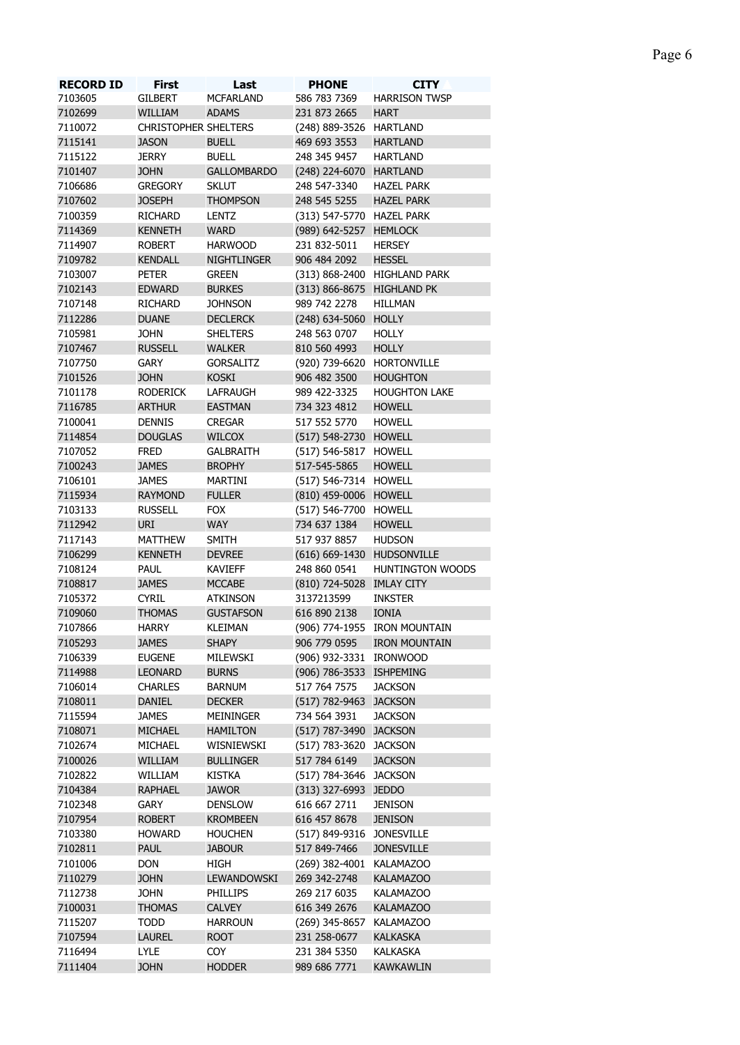| ı<br>ı.<br>г<br>r. |  |
|--------------------|--|
|--------------------|--|

| <b>RECORD ID</b> | <b>First</b>                | Last               | <b>PHONE</b>               | <b>CITY</b>                  |
|------------------|-----------------------------|--------------------|----------------------------|------------------------------|
| 7103605          | <b>GILBERT</b>              | <b>MCFARLAND</b>   | 586 783 7369               | <b>HARRISON TWSP</b>         |
| 7102699          | WILLIAM                     | <b>ADAMS</b>       | 231 873 2665               | <b>HART</b>                  |
| 7110072          | <b>CHRISTOPHER SHELTERS</b> |                    | (248) 889-3526 HARTLAND    |                              |
| 7115141          | <b>JASON</b>                | <b>BUELL</b>       | 469 693 3553               | <b>HARTLAND</b>              |
| 7115122          | <b>JERRY</b>                | <b>BUELL</b>       | 248 345 9457               | <b>HARTLAND</b>              |
| 7101407          | <b>JOHN</b>                 | <b>GALLOMBARDO</b> |                            |                              |
|                  |                             |                    | (248) 224-6070 HARTLAND    |                              |
| 7106686          | <b>GREGORY</b>              | <b>SKLUT</b>       | 248 547-3340               | <b>HAZEL PARK</b>            |
| 7107602          | <b>JOSEPH</b>               | <b>THOMPSON</b>    | 248 545 5255               | <b>HAZEL PARK</b>            |
| 7100359          | <b>RICHARD</b>              | LENTZ              | (313) 547-5770 HAZEL PARK  |                              |
| 7114369          | <b>KENNETH</b>              | <b>WARD</b>        | (989) 642-5257 HEMLOCK     |                              |
| 7114907          | <b>ROBERT</b>               | <b>HARWOOD</b>     | 231 832-5011               | <b>HERSEY</b>                |
| 7109782          | <b>KENDALL</b>              | <b>NIGHTLINGER</b> | 906 484 2092               | <b>HESSEL</b>                |
| 7103007          | PETER                       | <b>GREEN</b>       |                            | (313) 868-2400 HIGHLAND PARK |
| 7102143          | <b>EDWARD</b>               | <b>BURKES</b>      | (313) 866-8675 HIGHLAND PK |                              |
| 7107148          | <b>RICHARD</b>              | <b>JOHNSON</b>     | 989 742 2278               | HILLMAN                      |
| 7112286          | <b>DUANE</b>                | <b>DECLERCK</b>    | (248) 634-5060 HOLLY       |                              |
| 7105981          | <b>JOHN</b>                 | <b>SHELTERS</b>    | 248 563 0707               | <b>HOLLY</b>                 |
| 7107467          | <b>RUSSELL</b>              | <b>WALKER</b>      | 810 560 4993               | <b>HOLLY</b>                 |
| 7107750          | <b>GARY</b>                 | <b>GORSALITZ</b>   | (920) 739-6620 HORTONVILLE |                              |
| 7101526          | <b>JOHN</b>                 | <b>KOSKI</b>       | 906 482 3500               | <b>HOUGHTON</b>              |
| 7101178          | <b>RODERICK</b>             | LAFRAUGH           | 989 422-3325               | <b>HOUGHTON LAKE</b>         |
| 7116785          | <b>ARTHUR</b>               | <b>EASTMAN</b>     | 734 323 4812               | <b>HOWELL</b>                |
| 7100041          | <b>DENNIS</b>               | <b>CREGAR</b>      | 517 552 5770               | <b>HOWELL</b>                |
| 7114854          | <b>DOUGLAS</b>              | <b>WILCOX</b>      | (517) 548-2730 HOWELL      |                              |
| 7107052          | <b>FRED</b>                 | <b>GALBRAITH</b>   | (517) 546-5817 HOWELL      |                              |
| 7100243          | <b>JAMES</b>                | <b>BROPHY</b>      | 517-545-5865               | <b>HOWELL</b>                |
|                  |                             |                    |                            |                              |
| 7106101          | <b>JAMES</b>                | MARTINI            | (517) 546-7314 HOWELL      |                              |
| 7115934          | <b>RAYMOND</b>              | <b>FULLER</b>      | (810) 459-0006 HOWELL      |                              |
| 7103133          | <b>RUSSELL</b>              | <b>FOX</b>         | (517) 546-7700 HOWELL      |                              |
| 7112942          | <b>URI</b>                  | <b>WAY</b>         | 734 637 1384               | <b>HOWELL</b>                |
| 7117143          | <b>MATTHEW</b>              | <b>SMITH</b>       | 517 937 8857               | <b>HUDSON</b>                |
| 7106299          | <b>KENNETH</b>              | <b>DEVREE</b>      | (616) 669-1430 HUDSONVILLE |                              |
| 7108124          | <b>PAUL</b>                 | <b>KAVIEFF</b>     | 248 860 0541               | <b>HUNTINGTON WOODS</b>      |
| 7108817          | <b>JAMES</b>                | <b>MCCABE</b>      | (810) 724-5028 IMLAY CITY  |                              |
| 7105372          | <b>CYRIL</b>                | <b>ATKINSON</b>    | 3137213599                 | <b>INKSTER</b>               |
| 7109060          | <b>THOMAS</b>               | <b>GUSTAFSON</b>   | 616 890 2138               | <b>IONIA</b>                 |
| 7107866          | <b>HARRY</b>                | KLEIMAN            |                            | (906) 774-1955 IRON MOUNTAIN |
| 7105293          | <b>JAMES</b>                | <b>SHAPY</b>       | 906 779 0595               | <b>IRON MOUNTAIN</b>         |
| 7106339          | <b>EUGENE</b>               | MILEWSKI           | (906) 932-3331 IRONWOOD    |                              |
| 7114988          | <b>LEONARD</b>              | <b>BURNS</b>       | (906) 786-3533 ISHPEMING   |                              |
| 7106014          | <b>CHARLES</b>              | <b>BARNUM</b>      | 517 764 7575               | <b>JACKSON</b>               |
| 7108011          | <b>DANIEL</b>               | <b>DECKER</b>      | (517) 782-9463 JACKSON     |                              |
| 7115594          | <b>JAMES</b>                | MEININGER          | 734 564 3931               | <b>JACKSON</b>               |
| 7108071          | <b>MICHAEL</b>              | <b>HAMILTON</b>    | (517) 787-3490 JACKSON     |                              |
| 7102674          | MICHAEL                     | WISNIEWSKI         | (517) 783-3620 JACKSON     |                              |
| 7100026          | WILLIAM                     | <b>BULLINGER</b>   | 517 784 6149               | <b>JACKSON</b>               |
|                  |                             |                    |                            |                              |
| 7102822          | WILLIAM                     | <b>KISTKA</b>      | (517) 784-3646 JACKSON     |                              |
| 7104384          | <b>RAPHAEL</b>              | <b>JAWOR</b>       | (313) 327-6993 JEDDO       |                              |
| 7102348          | <b>GARY</b>                 | <b>DENSLOW</b>     | 616 667 2711               | <b>JENISON</b>               |
| 7107954          | <b>ROBERT</b>               | <b>KROMBEEN</b>    | 616 457 8678               | <b>JENISON</b>               |
| 7103380          | <b>HOWARD</b>               | <b>HOUCHEN</b>     | (517) 849-9316 JONESVILLE  |                              |
| 7102811          | <b>PAUL</b>                 | <b>JABOUR</b>      | 517 849-7466               | <b>JONESVILLE</b>            |
| 7101006          | <b>DON</b>                  | HIGH               | (269) 382-4001 KALAMAZOO   |                              |
| 7110279          | <b>JOHN</b>                 | LEWANDOWSKI        | 269 342-2748               | <b>KALAMAZOO</b>             |
| 7112738          | <b>JOHN</b>                 | <b>PHILLIPS</b>    | 269 217 6035               | <b>KALAMAZOO</b>             |
| 7100031          | <b>THOMAS</b>               | <b>CALVEY</b>      | 616 349 2676               | <b>KALAMAZOO</b>             |
| 7115207          | <b>TODD</b>                 | <b>HARROUN</b>     | (269) 345-8657 KALAMAZOO   |                              |
| 7107594          | <b>LAUREL</b>               | <b>ROOT</b>        | 231 258-0677               | <b>KALKASKA</b>              |
| 7116494          | <b>LYLE</b>                 | <b>COY</b>         | 231 384 5350               | <b>KALKASKA</b>              |
| 7111404          | <b>JOHN</b>                 | <b>HODDER</b>      | 989 686 7771               | <b>KAWKAWLIN</b>             |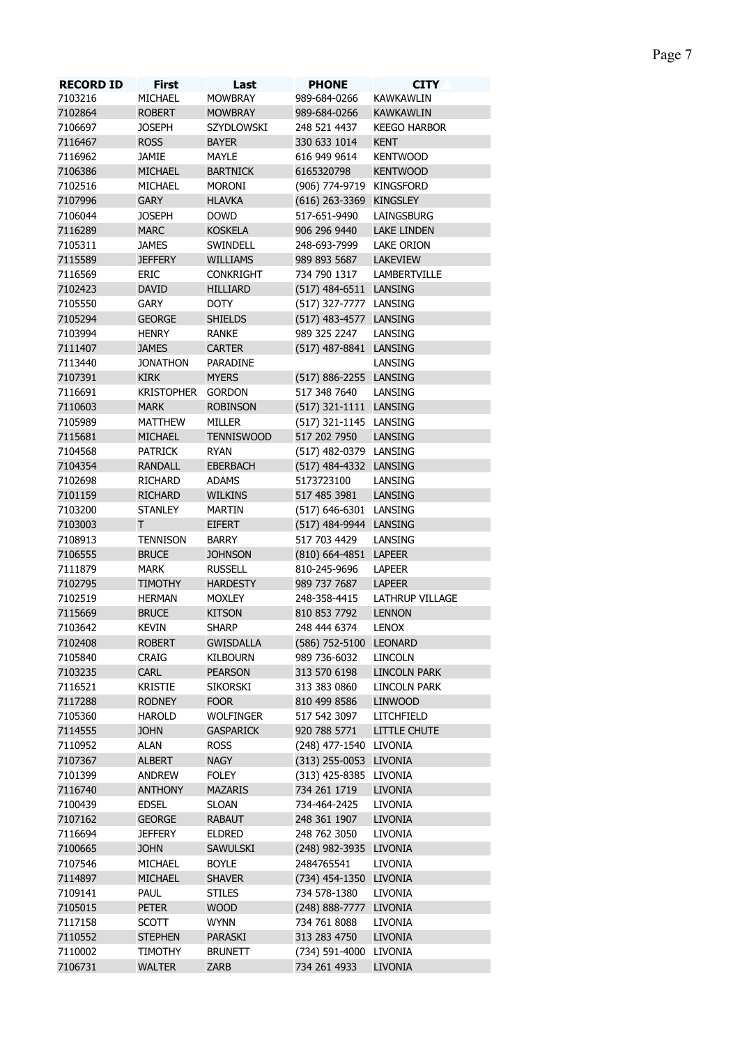| <b>RECORD ID</b> | <b>First</b>      | Last              | <b>PHONE</b>             | <b>CITY</b>         |
|------------------|-------------------|-------------------|--------------------------|---------------------|
| 7103216          | MICHAEL           | <b>MOWBRAY</b>    | 989-684-0266             | <b>KAWKAWLIN</b>    |
| 7102864          | <b>ROBERT</b>     | <b>MOWBRAY</b>    | 989-684-0266             | <b>KAWKAWLIN</b>    |
| 7106697          | <b>JOSEPH</b>     | SZYDLOWSKI        | 248 521 4437             | <b>KEEGO HARBOR</b> |
| 7116467          | <b>ROSS</b>       | <b>BAYER</b>      | 330 633 1014             | <b>KENT</b>         |
| 7116962          | <b>JAMIE</b>      | <b>MAYLE</b>      | 616 949 9614             | <b>KENTWOOD</b>     |
| 7106386          | <b>MICHAEL</b>    | <b>BARTNICK</b>   | 6165320798               | <b>KENTWOOD</b>     |
| 7102516          | MICHAEL           | <b>MORONI</b>     | (906) 774-9719 KINGSFORD |                     |
| 7107996          | <b>GARY</b>       | <b>HLAVKA</b>     | (616) 263-3369 KINGSLEY  |                     |
| 7106044          | <b>JOSEPH</b>     | <b>DOWD</b>       | 517-651-9490             | LAINGSBURG          |
| 7116289          | <b>MARC</b>       | <b>KOSKELA</b>    | 906 296 9440             | <b>LAKE LINDEN</b>  |
| 7105311          | <b>JAMES</b>      | SWINDELL          | 248-693-7999             | LAKE ORION          |
| 7115589          | <b>JEFFERY</b>    | <b>WILLIAMS</b>   | 989 893 5687             | <b>LAKEVIEW</b>     |
| 7116569          | ERIC              | <b>CONKRIGHT</b>  | 734 790 1317             | LAMBERTVILLE        |
| 7102423          | <b>DAVID</b>      | <b>HILLIARD</b>   | (517) 484-6511 LANSING   |                     |
| 7105550          | <b>GARY</b>       | <b>DOTY</b>       | (517) 327-7777 LANSING   |                     |
| 7105294          | <b>GEORGE</b>     | <b>SHIELDS</b>    | (517) 483-4577 LANSING   |                     |
| 7103994          | <b>HENRY</b>      | <b>RANKE</b>      | 989 325 2247             | LANSING             |
|                  |                   |                   |                          |                     |
| 7111407          | <b>JAMES</b>      | <b>CARTER</b>     | (517) 487-8841 LANSING   |                     |
| 7113440          | <b>JONATHON</b>   | PARADINE          |                          | LANSING             |
| 7107391          | <b>KIRK</b>       | <b>MYERS</b>      | (517) 886-2255 LANSING   |                     |
| 7116691          | <b>KRISTOPHER</b> | GORDON            | 517 348 7640             | LANSING             |
| 7110603          | <b>MARK</b>       | <b>ROBINSON</b>   | (517) 321-1111 LANSING   |                     |
| 7105989          | <b>MATTHEW</b>    | MILLER            | (517) 321-1145 LANSING   |                     |
| 7115681          | MICHAEL           | <b>TENNISWOOD</b> | 517 202 7950             | LANSING             |
| 7104568          | <b>PATRICK</b>    | <b>RYAN</b>       | (517) 482-0379 LANSING   |                     |
| 7104354          | <b>RANDALL</b>    | <b>EBERBACH</b>   | (517) 484-4332 LANSING   |                     |
| 7102698          | <b>RICHARD</b>    | <b>ADAMS</b>      | 5173723100               | LANSING             |
| 7101159          | <b>RICHARD</b>    | <b>WILKINS</b>    | 517 485 3981             | LANSING             |
| 7103200          | <b>STANLEY</b>    | <b>MARTIN</b>     | (517) 646-6301 LANSING   |                     |
| 7103003          | Τ                 | <b>EIFERT</b>     | (517) 484-9944 LANSING   |                     |
| 7108913          | <b>TENNISON</b>   | <b>BARRY</b>      | 517 703 4429             | LANSING             |
| 7106555          | <b>BRUCE</b>      | <b>JOHNSON</b>    | (810) 664-4851 LAPEER    |                     |
| 7111879          | MARK              | <b>RUSSELL</b>    | 810-245-9696             | <b>LAPEER</b>       |
| 7102795          | <b>TIMOTHY</b>    | <b>HARDESTY</b>   | 989 737 7687             | <b>LAPEER</b>       |
| 7102519          | <b>HERMAN</b>     | <b>MOXLEY</b>     | 248-358-4415             | LATHRUP VILLAGE     |
| 7115669          | <b>BRUCE</b>      | <b>KITSON</b>     | 810 853 7792             | <b>LENNON</b>       |
| 7103642          | <b>KEVIN</b>      | <b>SHARP</b>      | 248 444 6374             | <b>LENOX</b>        |
| 7102408          | <b>ROBERT</b>     | <b>GWISDALLA</b>  | (586) 752-5100 LEONARD   |                     |
| 7105840          | CRAIG             | <b>KILBOURN</b>   | 989 736-6032             | <b>LINCOLN</b>      |
| 7103235          | CARL              | <b>PEARSON</b>    | 313 570 6198             | <b>LINCOLN PARK</b> |
| 7116521          | <b>KRISTIE</b>    | <b>SIKORSKI</b>   | 313 383 0860             | LINCOLN PARK        |
| 7117288          |                   |                   |                          |                     |
|                  | <b>RODNEY</b>     | <b>FOOR</b>       | 810 499 8586             | <b>LINWOOD</b>      |
| 7105360          | <b>HAROLD</b>     | <b>WOLFINGER</b>  | 517 542 3097             | LITCHFIELD          |
| 7114555          | <b>JOHN</b>       | <b>GASPARICK</b>  | 920 788 5771             | <b>LITTLE CHUTE</b> |
| 7110952          | <b>ALAN</b>       | <b>ROSS</b>       | (248) 477-1540 LIVONIA   |                     |
| 7107367          | <b>ALBERT</b>     | <b>NAGY</b>       | (313) 255-0053 LIVONIA   |                     |
| 7101399          | <b>ANDREW</b>     | <b>FOLEY</b>      | (313) 425-8385 LIVONIA   |                     |
| 7116740          | <b>ANTHONY</b>    | <b>MAZARIS</b>    | 734 261 1719             | <b>LIVONIA</b>      |
| 7100439          | <b>EDSEL</b>      | <b>SLOAN</b>      | 734-464-2425             | LIVONIA             |
| 7107162          | <b>GEORGE</b>     | <b>RABAUT</b>     | 248 361 1907             | <b>LIVONIA</b>      |
| 7116694          | <b>JEFFERY</b>    | <b>ELDRED</b>     | 248 762 3050             | LIVONIA             |
| 7100665          | <b>JOHN</b>       | <b>SAWULSKI</b>   | (248) 982-3935 LIVONIA   |                     |
| 7107546          | MICHAEL           | <b>BOYLE</b>      | 2484765541               | LIVONIA             |
| 7114897          | <b>MICHAEL</b>    | <b>SHAVER</b>     | (734) 454-1350 LIVONIA   |                     |
| 7109141          | PAUL              | <b>STILES</b>     | 734 578-1380             | LIVONIA             |
| 7105015          | <b>PETER</b>      | <b>WOOD</b>       | (248) 888-7777 LIVONIA   |                     |
| 7117158          | <b>SCOTT</b>      | <b>WYNN</b>       | 734 761 8088             | LIVONIA             |
| 7110552          | <b>STEPHEN</b>    | PARASKI           | 313 283 4750             | <b>LIVONIA</b>      |
| 7110002          | TIMOTHY           | <b>BRUNETT</b>    | (734) 591-4000 LIVONIA   |                     |
| 7106731          | <b>WALTER</b>     | ZARB              | 734 261 4933             | <b>LIVONIA</b>      |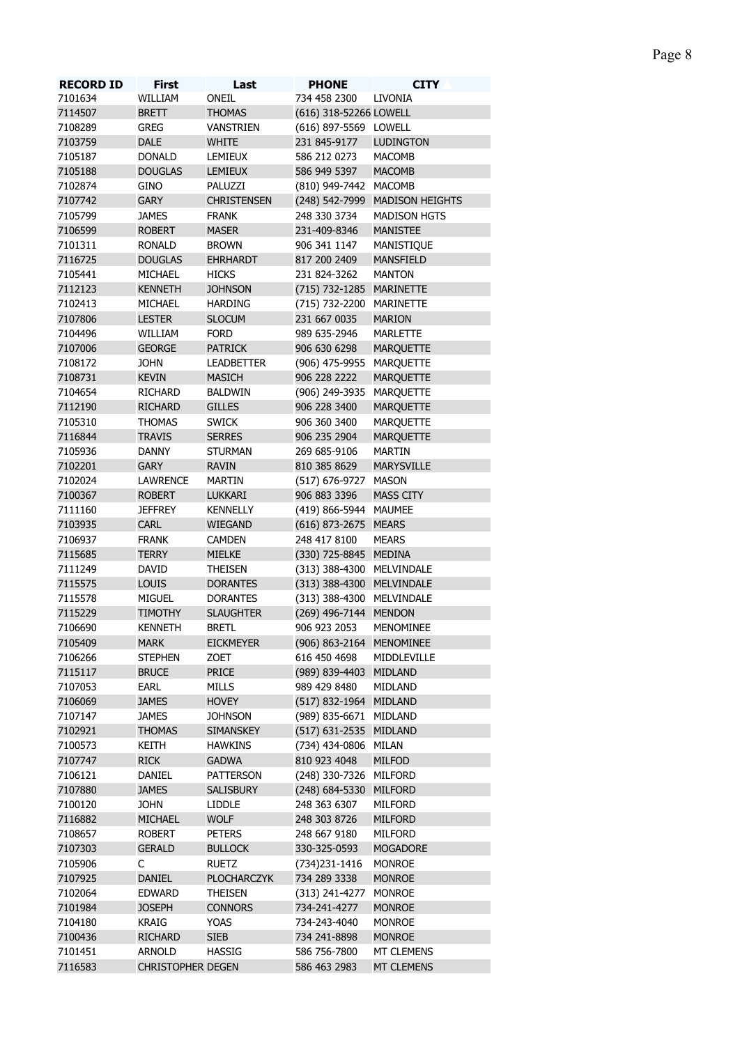| <b>RECORD ID</b> | <b>First</b>             | Last               | <b>PHONE</b>              | <b>CITY</b>                    |
|------------------|--------------------------|--------------------|---------------------------|--------------------------------|
| 7101634          | WILLIAM                  | ONEIL              | 734 458 2300              | <b>LIVONIA</b>                 |
| 7114507          | <b>BRETT</b>             | <b>THOMAS</b>      | (616) 318-52266 LOWELL    |                                |
| 7108289          | <b>GREG</b>              | <b>VANSTRIEN</b>   | (616) 897-5569 LOWELL     |                                |
| 7103759          | <b>DALE</b>              | <b>WHITE</b>       | 231 845-9177              | <b>LUDINGTON</b>               |
| 7105187          | <b>DONALD</b>            | LEMIEUX            | 586 212 0273              | <b>MACOMB</b>                  |
| 7105188          | <b>DOUGLAS</b>           | <b>LEMIEUX</b>     | 586 949 5397              | <b>MACOMB</b>                  |
| 7102874          | <b>GINO</b>              | PALUZZI            | (810) 949-7442 MACOMB     |                                |
| 7107742          | <b>GARY</b>              | <b>CHRISTENSEN</b> |                           | (248) 542-7999 MADISON HEIGHTS |
| 7105799          | <b>JAMES</b>             | <b>FRANK</b>       | 248 330 3734              | <b>MADISON HGTS</b>            |
| 7106599          | <b>ROBERT</b>            | <b>MASER</b>       | 231-409-8346              | <b>MANISTEE</b>                |
| 7101311          | <b>RONALD</b>            | <b>BROWN</b>       | 906 341 1147              | <b>MANISTIQUE</b>              |
| 7116725          | <b>DOUGLAS</b>           | <b>EHRHARDT</b>    | 817 200 2409              | <b>MANSFIELD</b>               |
| 7105441          | MICHAEL                  | <b>HICKS</b>       | 231 824-3262              | <b>MANTON</b>                  |
| 7112123          | <b>KENNETH</b>           | <b>JOHNSON</b>     | (715) 732-1285 MARINETTE  |                                |
| 7102413          | MICHAEL                  | <b>HARDING</b>     | (715) 732-2200 MARINETTE  |                                |
| 7107806          | <b>LESTER</b>            | <b>SLOCUM</b>      | 231 667 0035              | <b>MARION</b>                  |
|                  |                          |                    |                           |                                |
| 7104496          | WILLIAM                  | <b>FORD</b>        | 989 635-2946              | MARLETTE                       |
| 7107006          | <b>GEORGE</b>            | <b>PATRICK</b>     | 906 630 6298              | <b>MARQUETTE</b>               |
| 7108172          | <b>JOHN</b>              | <b>LEADBETTER</b>  | (906) 475-9955 MARQUETTE  |                                |
| 7108731          | <b>KEVIN</b>             | <b>MASICH</b>      | 906 228 2222              | <b>MARQUETTE</b>               |
| 7104654          | <b>RICHARD</b>           | <b>BALDWIN</b>     | (906) 249-3935 MARQUETTE  |                                |
| 7112190          | <b>RICHARD</b>           | <b>GILLES</b>      | 906 228 3400              | <b>MARQUETTE</b>               |
| 7105310          | <b>THOMAS</b>            | <b>SWICK</b>       | 906 360 3400              | <b>MARQUETTE</b>               |
| 7116844          | <b>TRAVIS</b>            | <b>SERRES</b>      | 906 235 2904              | <b>MARQUETTE</b>               |
| 7105936          | DANNY                    | <b>STURMAN</b>     | 269 685-9106              | <b>MARTIN</b>                  |
| 7102201          | <b>GARY</b>              | <b>RAVIN</b>       | 810 385 8629              | <b>MARYSVILLE</b>              |
| 7102024          | <b>LAWRENCE</b>          | <b>MARTIN</b>      | (517) 676-9727            | MASON                          |
| 7100367          | <b>ROBERT</b>            | <b>LUKKARI</b>     | 906 883 3396              | <b>MASS CITY</b>               |
| 7111160          | <b>JEFFREY</b>           | <b>KENNELLY</b>    | (419) 866-5944 MAUMEE     |                                |
| 7103935          | CARL                     | <b>WIEGAND</b>     | (616) 873-2675 MEARS      |                                |
| 7106937          | <b>FRANK</b>             | <b>CAMDEN</b>      | 248 417 8100              | <b>MEARS</b>                   |
| 7115685          | <b>TERRY</b>             | <b>MIELKE</b>      | (330) 725-8845 MEDINA     |                                |
| 7111249          | DAVID                    | <b>THEISEN</b>     | (313) 388-4300 MELVINDALE |                                |
| 7115575          | <b>LOUIS</b>             | <b>DORANTES</b>    | (313) 388-4300 MELVINDALE |                                |
| 7115578          | <b>MIGUEL</b>            | <b>DORANTES</b>    | (313) 388-4300 MELVINDALE |                                |
| 7115229          | <b>TIMOTHY</b>           | <b>SLAUGHTER</b>   | (269) 496-7144 MENDON     |                                |
| 7106690          | KENNETH                  | BRETL              | 906 923 2053              | <b>MENOMINEE</b>               |
|                  |                          |                    |                           |                                |
| 7105409          | <b>MARK</b>              | <b>EICKMEYER</b>   | (906) 863-2164 MENOMINEE  |                                |
| 7106266          | <b>STEPHEN</b>           | ZOET               | 616 450 4698              | MIDDLEVILLE                    |
| 7115117          | <b>BRUCE</b>             | <b>PRICE</b>       | (989) 839-4403 MIDLAND    |                                |
| 7107053          | EARL                     | <b>MILLS</b>       | 989 429 8480              | MIDLAND                        |
| 7106069          | <b>JAMES</b>             | <b>HOVEY</b>       | (517) 832-1964 MIDLAND    |                                |
| 7107147          | <b>JAMES</b>             | <b>JOHNSON</b>     | (989) 835-6671 MIDLAND    |                                |
| 7102921          | <b>THOMAS</b>            | <b>SIMANSKEY</b>   | (517) 631-2535 MIDLAND    |                                |
| 7100573          | Keith                    | <b>HAWKINS</b>     | (734) 434-0806 MILAN      |                                |
| 7107747          | <b>RICK</b>              | <b>GADWA</b>       | 810 923 4048              | <b>MILFOD</b>                  |
| 7106121          | DANIEL                   | <b>PATTERSON</b>   | (248) 330-7326 MILFORD    |                                |
| 7107880          | <b>JAMES</b>             | <b>SALISBURY</b>   | (248) 684-5330 MILFORD    |                                |
| 7100120          | <b>JOHN</b>              | <b>LIDDLE</b>      | 248 363 6307              | MILFORD                        |
| 7116882          | <b>MICHAEL</b>           | <b>WOLF</b>        | 248 303 8726              | <b>MILFORD</b>                 |
| 7108657          | <b>ROBERT</b>            | PETERS             | 248 667 9180              | MILFORD                        |
| 7107303          | <b>GERALD</b>            | <b>BULLOCK</b>     | 330-325-0593              | <b>MOGADORE</b>                |
| 7105906          | C                        | <b>RUETZ</b>       | (734) 231 - 1416          | <b>MONROE</b>                  |
| 7107925          | DANIEL                   | <b>PLOCHARCZYK</b> | 734 289 3338              | <b>MONROE</b>                  |
| 7102064          |                          |                    |                           |                                |
|                  | <b>EDWARD</b>            | <b>THEISEN</b>     | (313) 241-4277            | <b>MONROE</b>                  |
| 7101984          | <b>JOSEPH</b>            | <b>CONNORS</b>     | 734-241-4277              | <b>MONROE</b>                  |
| 7104180          | <b>KRAIG</b>             | YOAS               | 734-243-4040              | <b>MONROE</b>                  |
| 7100436          | <b>RICHARD</b>           | <b>SIEB</b>        | 734 241-8898              | <b>MONROE</b>                  |
| 7101451          | <b>ARNOLD</b>            | <b>HASSIG</b>      | 586 756-7800              | MT CLEMENS                     |
| 7116583          | <b>CHRISTOPHER DEGEN</b> |                    | 586 463 2983              | <b>MT CLEMENS</b>              |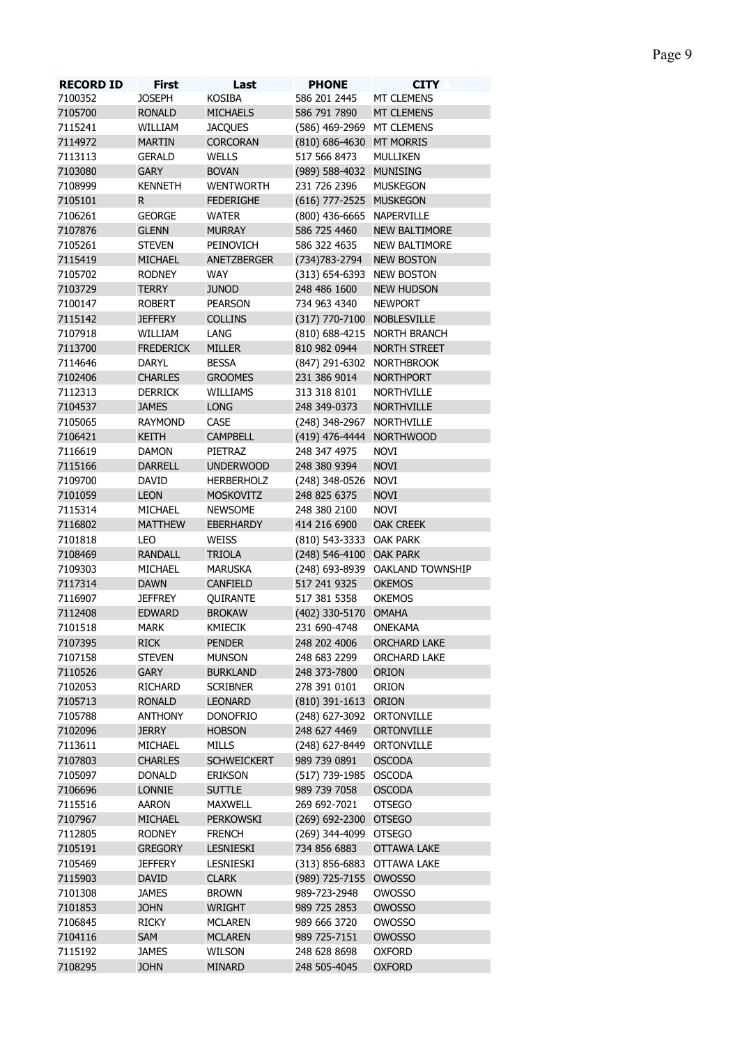| <b>RECORD ID</b> | <b>First</b>     | Last               | <b>PHONE</b>               | <b>CITY</b>                     |
|------------------|------------------|--------------------|----------------------------|---------------------------------|
| 7100352          | <b>JOSEPH</b>    | <b>KOSIBA</b>      | 586 201 2445               | <b>MT CLEMENS</b>               |
| 7105700          | <b>RONALD</b>    | <b>MICHAELS</b>    | 586 791 7890               | <b>MT CLEMENS</b>               |
| 7115241          | WILLIAM          | <b>JACQUES</b>     | (586) 469-2969 MT CLEMENS  |                                 |
| 7114972          | <b>MARTIN</b>    | <b>CORCORAN</b>    | (810) 686-4630 MT MORRIS   |                                 |
| 7113113          | <b>GERALD</b>    | <b>WELLS</b>       | 517 566 8473               | MULLIKEN                        |
| 7103080          | <b>GARY</b>      | <b>BOVAN</b>       | (989) 588-4032 MUNISING    |                                 |
| 7108999          | <b>KENNETH</b>   | <b>WENTWORTH</b>   | 231 726 2396               | <b>MUSKEGON</b>                 |
| 7105101          | R.               | <b>FEDERIGHE</b>   | (616) 777-2525 MUSKEGON    |                                 |
| 7106261          | <b>GEORGE</b>    | <b>WATER</b>       | (800) 436-6665 NAPERVILLE  |                                 |
| 7107876          | <b>GLENN</b>     | <b>MURRAY</b>      | 586 725 4460               | <b>NEW BALTIMORE</b>            |
| 7105261          | <b>STEVEN</b>    | PEINOVICH          | 586 322 4635               | <b>NEW BALTIMORE</b>            |
| 7115419          | <b>MICHAEL</b>   | ANETZBERGER        | (734) 783 - 2794           | <b>NEW BOSTON</b>               |
| 7105702          | <b>RODNEY</b>    | WAY                | (313) 654-6393 NEW BOSTON  |                                 |
| 7103729          | <b>TERRY</b>     | <b>JUNOD</b>       | 248 486 1600               | <b>NEW HUDSON</b>               |
| 7100147          | <b>ROBERT</b>    | <b>PEARSON</b>     | 734 963 4340               | <b>NEWPORT</b>                  |
| 7115142          | <b>JEFFERY</b>   | <b>COLLINS</b>     | (317) 770-7100 NOBLESVILLE |                                 |
| 7107918          | WILLIAM          | LANG               |                            | (810) 688-4215 NORTH BRANCH     |
| 7113700          | <b>FREDERICK</b> | <b>MILLER</b>      | 810 982 0944               | <b>NORTH STREET</b>             |
| 7114646          | <b>DARYL</b>     | <b>BESSA</b>       | (847) 291-6302 NORTHBROOK  |                                 |
| 7102406          | <b>CHARLES</b>   | <b>GROOMES</b>     | 231 386 9014               | <b>NORTHPORT</b>                |
|                  |                  |                    |                            |                                 |
| 7112313          | <b>DERRICK</b>   | WILLIAMS           | 313 318 8101               | <b>NORTHVILLE</b>               |
| 7104537          | <b>JAMES</b>     | <b>LONG</b>        | 248 349-0373               | <b>NORTHVILLE</b>               |
| 7105065          | <b>RAYMOND</b>   | CASE               | (248) 348-2967 NORTHVILLE  |                                 |
| 7106421          | <b>KEITH</b>     | <b>CAMPBELL</b>    | (419) 476-4444 NORTHWOOD   |                                 |
| 7116619          | <b>DAMON</b>     | PIETRAZ            | 248 347 4975               | <b>NOVI</b>                     |
| 7115166          | <b>DARRELL</b>   | <b>UNDERWOOD</b>   | 248 380 9394               | <b>NOVI</b>                     |
| 7109700          | DAVID            | <b>HERBERHOLZ</b>  | (248) 348-0526 NOVI        |                                 |
| 7101059          | <b>LEON</b>      | <b>MOSKOVITZ</b>   | 248 825 6375               | <b>NOVI</b>                     |
| 7115314          | MICHAEL          | <b>NEWSOME</b>     | 248 380 2100               | <b>NOVI</b>                     |
| 7116802          | <b>MATTHEW</b>   | <b>EBERHARDY</b>   | 414 216 6900               | <b>OAK CREEK</b>                |
| 7101818          | LEO              | WEISS              | (810) 543-3333 OAK PARK    |                                 |
| 7108469          | <b>RANDALL</b>   | <b>TRIOLA</b>      | (248) 546-4100 OAK PARK    |                                 |
| 7109303          | MICHAEL          | <b>MARUSKA</b>     |                            | (248) 693-8939 OAKLAND TOWNSHIP |
| 7117314          | <b>DAWN</b>      | <b>CANFIELD</b>    | 517 241 9325               | <b>OKEMOS</b>                   |
| 7116907          | <b>JEFFREY</b>   | QUIRANTE           | 517 381 5358               | <b>OKEMOS</b>                   |
| 7112408          | <b>EDWARD</b>    | <b>BROKAW</b>      | (402) 330-5170 OMAHA       |                                 |
| 7101518          | <b>MARK</b>      | KMIECIK            | 231 690-4748               | <b>ONEKAMA</b>                  |
| 7107395          | <b>RICK</b>      | <b>PENDER</b>      | 248 202 4006               | <b>ORCHARD LAKE</b>             |
| 7107158          | <b>STEVEN</b>    | <b>MUNSON</b>      | 248 683 2299               | ORCHARD LAKE                    |
| 7110526          | <b>GARY</b>      | <b>BURKLAND</b>    | 248 373-7800               | <b>ORION</b>                    |
| 7102053          |                  |                    |                            |                                 |
|                  | <b>RICHARD</b>   | <b>SCRIBNER</b>    | 278 391 0101               | ORION                           |
| 7105713          | <b>RONALD</b>    | <b>LEONARD</b>     | (810) 391-1613 ORION       |                                 |
| 7105788          | <b>ANTHONY</b>   | <b>DONOFRIO</b>    | (248) 627-3092 ORTONVILLE  |                                 |
| 7102096          | <b>JERRY</b>     | <b>HOBSON</b>      | 248 627 4469               | <b>ORTONVILLE</b>               |
| 7113611          | MICHAEL          | <b>MILLS</b>       | (248) 627-8449 ORTONVILLE  |                                 |
| 7107803          | <b>CHARLES</b>   | <b>SCHWEICKERT</b> | 989 739 0891               | <b>OSCODA</b>                   |
| 7105097          | <b>DONALD</b>    | <b>ERIKSON</b>     | (517) 739-1985 OSCODA      |                                 |
| 7106696          | <b>LONNIE</b>    | <b>SUTTLE</b>      | 989 739 7058               | <b>OSCODA</b>                   |
| 7115516          | <b>AARON</b>     | <b>MAXWELL</b>     | 269 692-7021               | <b>OTSEGO</b>                   |
| 7107967          | <b>MICHAEL</b>   | PERKOWSKI          | (269) 692-2300 OTSEGO      |                                 |
| 7112805          | <b>RODNEY</b>    | <b>FRENCH</b>      | (269) 344-4099 OTSEGO      |                                 |
| 7105191          | <b>GREGORY</b>   | LESNIESKI          | 734 856 6883               | <b>OTTAWA LAKE</b>              |
| 7105469          | <b>JEFFERY</b>   | LESNIESKI          | (313) 856-6883 OTTAWA LAKE |                                 |
| 7115903          | <b>DAVID</b>     | <b>CLARK</b>       | (989) 725-7155 OWOSSO      |                                 |
| 7101308          | <b>JAMES</b>     | <b>BROWN</b>       | 989-723-2948               | <b>OWOSSO</b>                   |
| 7101853          | <b>JOHN</b>      | <b>WRIGHT</b>      | 989 725 2853               | <b>OWOSSO</b>                   |
| 7106845          | <b>RICKY</b>     | <b>MCLAREN</b>     | 989 666 3720               | <b>OWOSSO</b>                   |
| 7104116          | <b>SAM</b>       | <b>MCLAREN</b>     | 989 725-7151               | <b>OWOSSO</b>                   |
| 7115192          | <b>JAMES</b>     | <b>WILSON</b>      | 248 628 8698               | <b>OXFORD</b>                   |
| 7108295          | <b>JOHN</b>      | <b>MINARD</b>      | 248 505-4045               | <b>OXFORD</b>                   |
|                  |                  |                    |                            |                                 |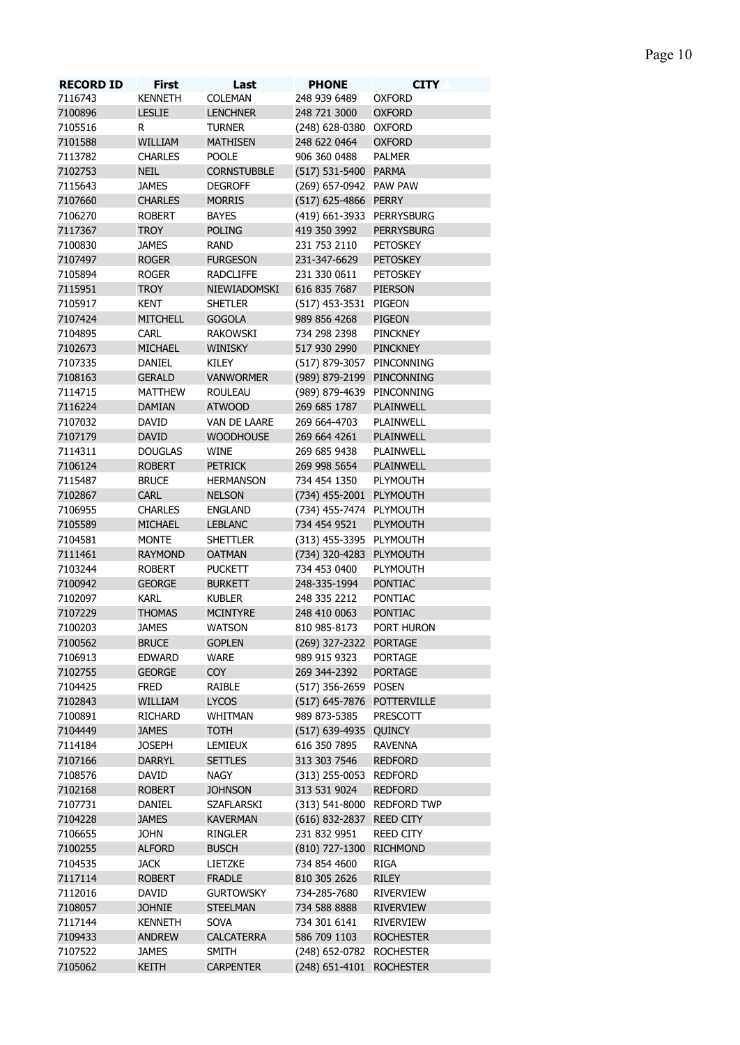| <b>RECORD ID</b> | <b>First</b>    | Last               | <b>PHONE</b>               | <b>CITY</b>                |
|------------------|-----------------|--------------------|----------------------------|----------------------------|
| 7116743          | <b>KENNETH</b>  | <b>COLEMAN</b>     | 248 939 6489               | <b>OXFORD</b>              |
| 7100896          | <b>LESLIE</b>   | <b>LENCHNER</b>    | 248 721 3000               | <b>OXFORD</b>              |
| 7105516          | R.              | <b>TURNER</b>      | (248) 628-0380 OXFORD      |                            |
| 7101588          | WILLIAM         | <b>MATHISEN</b>    | 248 622 0464               | <b>OXFORD</b>              |
| 7113782          | <b>CHARLES</b>  | <b>POOLE</b>       | 906 360 0488               | <b>PALMER</b>              |
| 7102753          | <b>NEIL</b>     | <b>CORNSTUBBLE</b> | (517) 531-5400 PARMA       |                            |
| 7115643          | <b>JAMES</b>    | <b>DEGROFF</b>     | (269) 657-0942 PAW PAW     |                            |
| 7107660          | <b>CHARLES</b>  | <b>MORRIS</b>      | (517) 625-4866 PERRY       |                            |
| 7106270          |                 | <b>BAYES</b>       | (419) 661-3933 PERRYSBURG  |                            |
|                  | <b>ROBERT</b>   |                    |                            |                            |
| 7117367          | <b>TROY</b>     | <b>POLING</b>      | 419 350 3992               | <b>PERRYSBURG</b>          |
| 7100830          | <b>JAMES</b>    | <b>RAND</b>        | 231 753 2110               | PETOSKEY                   |
| 7107497          | <b>ROGER</b>    | <b>FURGESON</b>    | 231-347-6629               | <b>PETOSKEY</b>            |
| 7105894          | <b>ROGER</b>    | <b>RADCLIFFE</b>   | 231 330 0611               | <b>PETOSKEY</b>            |
| 7115951          | <b>TROY</b>     | NIEWIADOMSKI       | 616 835 7687               | <b>PIERSON</b>             |
| 7105917          | <b>KENT</b>     | <b>SHETLER</b>     | (517) 453-3531 PIGEON      |                            |
| 7107424          | <b>MITCHELL</b> | <b>GOGOLA</b>      | 989 856 4268               | <b>PIGEON</b>              |
| 7104895          | <b>CARL</b>     | <b>RAKOWSKI</b>    | 734 298 2398               | PINCKNEY                   |
| 7102673          | <b>MICHAEL</b>  | <b>WINISKY</b>     | 517 930 2990               | <b>PINCKNEY</b>            |
| 7107335          | DANIEL          | KILEY              | (517) 879-3057 PINCONNING  |                            |
| 7108163          | <b>GERALD</b>   | <b>VANWORMER</b>   | (989) 879-2199 PINCONNING  |                            |
| 7114715          | <b>MATTHEW</b>  | <b>ROULEAU</b>     | (989) 879-4639 PINCONNING  |                            |
| 7116224          | <b>DAMIAN</b>   | <b>ATWOOD</b>      | 269 685 1787               | <b>PLAINWELL</b>           |
| 7107032          | DAVID           | VAN DE LAARE       | 269 664-4703               | PLAINWELL                  |
| 7107179          | <b>DAVID</b>    | <b>WOODHOUSE</b>   | 269 664 4261               | <b>PLAINWELL</b>           |
| 7114311          | <b>DOUGLAS</b>  | <b>WINE</b>        | 269 685 9438               | PLAINWELL                  |
| 7106124          | <b>ROBERT</b>   | <b>PETRICK</b>     | 269 998 5654               | <b>PLAINWELL</b>           |
| 7115487          | <b>BRUCE</b>    | <b>HERMANSON</b>   | 734 454 1350               | PLYMOUTH                   |
| 7102867          | CARL            | <b>NELSON</b>      | (734) 455-2001 PLYMOUTH    |                            |
|                  |                 |                    |                            |                            |
| 7106955          | <b>CHARLES</b>  | <b>ENGLAND</b>     | (734) 455-7474 PLYMOUTH    |                            |
| 7105589          | MICHAEL         | <b>LEBLANC</b>     | 734 454 9521               | <b>PLYMOUTH</b>            |
| 7104581          | <b>MONTE</b>    | <b>SHETTLER</b>    | (313) 455-3395 PLYMOUTH    |                            |
| 7111461          | <b>RAYMOND</b>  | <b>OATMAN</b>      | (734) 320-4283 PLYMOUTH    |                            |
| 7103244          | <b>ROBERT</b>   | <b>PUCKETT</b>     | 734 453 0400               | PLYMOUTH                   |
| 7100942          | <b>GEORGE</b>   | <b>BURKETT</b>     | 248-335-1994               | <b>PONTIAC</b>             |
| 7102097          | <b>KARL</b>     | <b>KUBLER</b>      | 248 335 2212               | PONTIAC                    |
| 7107229          | <b>THOMAS</b>   | <b>MCINTYRE</b>    | 248 410 0063               | <b>PONTIAC</b>             |
| 7100203          | JAMES           | <b>WATSON</b>      | 810 985-8173               | PORT HURON                 |
| 7100562          | <b>BRUCE</b>    | <b>GOPLEN</b>      | (269) 327-2322 PORTAGE     |                            |
| 7106913          | <b>EDWARD</b>   | WARE               | 989 915 9323               | <b>PORTAGE</b>             |
| 7102755          | <b>GEORGE</b>   | <b>COY</b>         | 269 344-2392               | <b>PORTAGE</b>             |
| 7104425          | <b>FRED</b>     | RAIBLE             | (517) 356-2659 POSEN       |                            |
| 7102843          | WILLIAM         | <b>LYCOS</b>       | (517) 645-7876 POTTERVILLE |                            |
| 7100891          | <b>RICHARD</b>  | WHITMAN            | 989 873-5385               | <b>PRESCOTT</b>            |
| 7104449          | <b>JAMES</b>    | <b>TOTH</b>        | (517) 639-4935 QUINCY      |                            |
| 7114184          | <b>JOSEPH</b>   | LEMIEUX            | 616 350 7895               | <b>RAVENNA</b>             |
| 7107166          | <b>DARRYL</b>   | <b>SETTLES</b>     | 313 303 7546               | <b>REDFORD</b>             |
|                  |                 |                    | (313) 255-0053 REDFORD     |                            |
| 7108576          | DAVID           | <b>NAGY</b>        |                            |                            |
| 7102168          | <b>ROBERT</b>   | <b>JOHNSON</b>     | 313 531 9024               | <b>REDFORD</b>             |
| 7107731          | DANIEL          | <b>SZAFLARSKI</b>  |                            | (313) 541-8000 REDFORD TWP |
| 7104228          | <b>JAMES</b>    | <b>KAVERMAN</b>    | (616) 832-2837 REED CITY   |                            |
| 7106655          | <b>JOHN</b>     | <b>RINGLER</b>     | 231 832 9951               | <b>REED CITY</b>           |
| 7100255          | <b>ALFORD</b>   | <b>BUSCH</b>       | (810) 727-1300 RICHMOND    |                            |
| 7104535          | <b>JACK</b>     | LIETZKE            | 734 854 4600               | <b>RIGA</b>                |
| 7117114          | <b>ROBERT</b>   | <b>FRADLE</b>      | 810 305 2626               | <b>RILEY</b>               |
| 7112016          | DAVID           | <b>GURTOWSKY</b>   | 734-285-7680               | <b>RIVERVIEW</b>           |
| 7108057          | <b>JOHNIE</b>   | <b>STEELMAN</b>    | 734 588 8888               | <b>RIVERVIEW</b>           |
| 7117144          | <b>KENNETH</b>  | SOVA               | 734 301 6141               | <b>RIVERVIEW</b>           |
| 7109433          | <b>ANDREW</b>   | <b>CALCATERRA</b>  | 586 709 1103               | <b>ROCHESTER</b>           |
| 7107522          | <b>JAMES</b>    | <b>SMITH</b>       | (248) 652-0782 ROCHESTER   |                            |
| 7105062          | KEITH           | <b>CARPENTER</b>   | (248) 651-4101 ROCHESTER   |                            |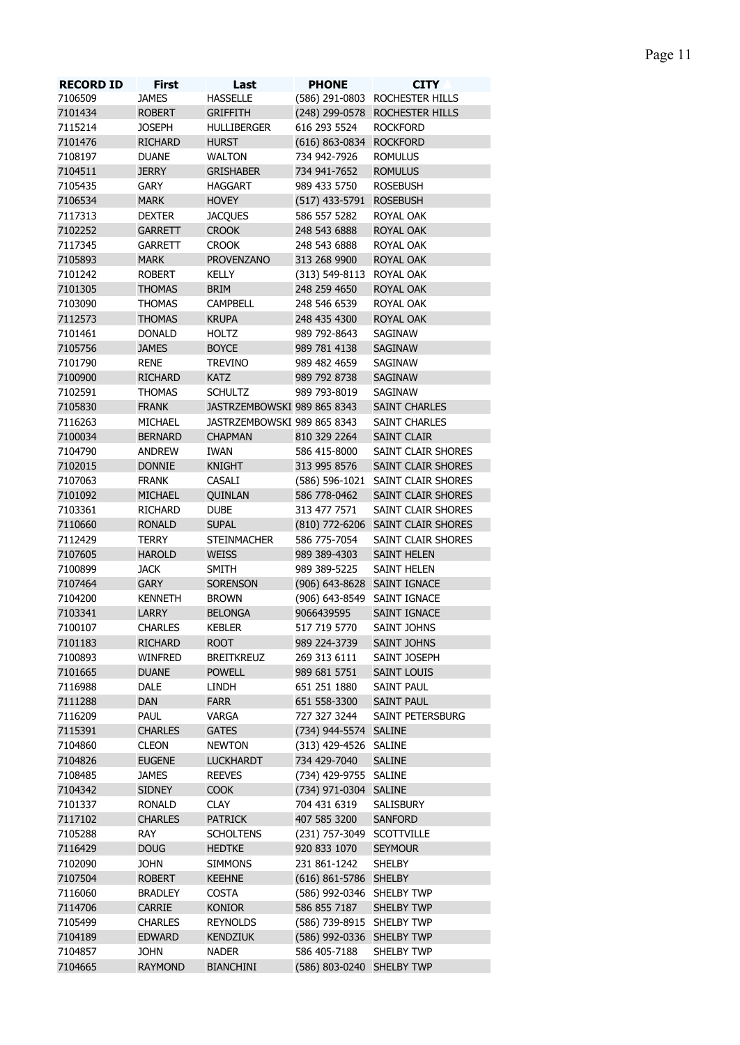| <b>RECORD ID</b> | <b>First</b>   | Last                        | <b>PHONE</b>                | <b>CITY</b>                       |
|------------------|----------------|-----------------------------|-----------------------------|-----------------------------------|
| 7106509          | <b>JAMES</b>   | <b>HASSELLE</b>             |                             | (586) 291-0803 ROCHESTER HILLS    |
| 7101434          | <b>ROBERT</b>  | <b>GRIFFITH</b>             |                             | (248) 299-0578 ROCHESTER HILLS    |
| 7115214          | <b>JOSEPH</b>  | <b>HULLIBERGER</b>          | 616 293 5524                | <b>ROCKFORD</b>                   |
| 7101476          | <b>RICHARD</b> | <b>HURST</b>                | (616) 863-0834 ROCKFORD     |                                   |
| 7108197          | <b>DUANE</b>   | <b>WALTON</b>               | 734 942-7926                | <b>ROMULUS</b>                    |
| 7104511          | <b>JERRY</b>   | <b>GRISHABER</b>            | 734 941-7652                | <b>ROMULUS</b>                    |
| 7105435          | <b>GARY</b>    | <b>HAGGART</b>              | 989 433 5750                | <b>ROSEBUSH</b>                   |
| 7106534          | <b>MARK</b>    | <b>HOVEY</b>                | (517) 433-5791              | <b>ROSEBUSH</b>                   |
| 7117313          | <b>DEXTER</b>  | <b>JACOUES</b>              | 586 557 5282                | ROYAL OAK                         |
| 7102252          | <b>GARRETT</b> | <b>CROOK</b>                | 248 543 6888                | <b>ROYAL OAK</b>                  |
| 7117345          | <b>GARRETT</b> | <b>CROOK</b>                | 248 543 6888                | ROYAL OAK                         |
| 7105893          | <b>MARK</b>    | <b>PROVENZANO</b>           | 313 268 9900                | <b>ROYAL OAK</b>                  |
| 7101242          | <b>ROBERT</b>  | KELLY                       | (313) 549-8113              | ROYAL OAK                         |
| 7101305          | <b>THOMAS</b>  | <b>BRIM</b>                 | 248 259 4650                | <b>ROYAL OAK</b>                  |
| 7103090          | <b>THOMAS</b>  | <b>CAMPBELL</b>             | 248 546 6539                | ROYAL OAK                         |
| 7112573          | <b>THOMAS</b>  | <b>KRUPA</b>                | 248 435 4300                | <b>ROYAL OAK</b>                  |
| 7101461          | <b>DONALD</b>  | <b>HOLTZ</b>                | 989 792-8643                | SAGINAW                           |
| 7105756          | <b>JAMES</b>   | <b>BOYCE</b>                | 989 781 4138                | SAGINAW                           |
| 7101790          | <b>RENE</b>    | <b>TREVINO</b>              | 989 482 4659                | SAGINAW                           |
| 7100900          | <b>RICHARD</b> | <b>KATZ</b>                 | 989 792 8738                | <b>SAGINAW</b>                    |
| 7102591          | <b>THOMAS</b>  | <b>SCHULTZ</b>              | 989 793-8019                | SAGINAW                           |
| 7105830          | <b>FRANK</b>   | JASTRZEMBOWSKI 989 865 8343 |                             | <b>SAINT CHARLES</b>              |
| 7116263          | MICHAEL        | JASTRZEMBOWSKI 989 865 8343 |                             | <b>SAINT CHARLES</b>              |
| 7100034          | <b>BERNARD</b> | <b>CHAPMAN</b>              | 810 329 2264                | <b>SAINT CLAIR</b>                |
| 7104790          | <b>ANDREW</b>  | IWAN                        | 586 415-8000                | SAINT CLAIR SHORES                |
| 7102015          | <b>DONNIE</b>  | <b>KNIGHT</b>               | 313 995 8576                | SAINT CLAIR SHORES                |
| 7107063          | <b>FRANK</b>   | CASALI                      |                             | (586) 596-1021 SAINT CLAIR SHORES |
| 7101092          | <b>MICHAEL</b> | QUINLAN                     | 586 778-0462                | SAINT CLAIR SHORES                |
| 7103361          | <b>RICHARD</b> | <b>DUBE</b>                 | 313 477 7571                | SAINT CLAIR SHORES                |
| 7110660          | <b>RONALD</b>  | <b>SUPAL</b>                |                             | (810) 772-6206 SAINT CLAIR SHORES |
| 7112429          | <b>TERRY</b>   | <b>STEINMACHER</b>          | 586 775-7054                | SAINT CLAIR SHORES                |
| 7107605          | <b>HAROLD</b>  | <b>WEISS</b>                | 989 389-4303                | <b>SAINT HELEN</b>                |
| 7100899          | <b>JACK</b>    | <b>SMITH</b>                | 989 389-5225                | <b>SAINT HELEN</b>                |
| 7107464          | <b>GARY</b>    | <b>SORENSON</b>             | (906) 643-8628 SAINT IGNACE |                                   |
|                  |                |                             |                             |                                   |
| 7104200          | <b>KENNETH</b> | <b>BROWN</b>                | (906) 643-8549 SAINT IGNACE |                                   |
| 7103341          | LARRY          | <b>BELONGA</b>              | 9066439595                  | SAINT IGNACE                      |
| 7100107          | <b>CHARLES</b> | KEBLER                      | 517 719 5770                | SAINT JOHNS                       |
| 7101183          | <b>RICHARD</b> | <b>ROOT</b>                 | 989 224-3739                | <b>SAINT JOHNS</b>                |
| 7100893          | WINFRED        | <b>BREITKREUZ</b>           | 269 313 6111                | SAINT JOSEPH                      |
| 7101665          | <b>DUANE</b>   | <b>POWELL</b>               | 989 681 5751                | <b>SAINT LOUIS</b>                |
| 7116988          | DALE           | <b>LINDH</b>                | 651 251 1880                | SAINT PAUL                        |
| 7111288          | DAN            | <b>FARR</b>                 | 651 558-3300                | <b>SAINT PAUL</b>                 |
| 7116209          | PAUL           | <b>VARGA</b>                | 727 327 3244                | SAINT PETERSBURG                  |
| 7115391          | <b>CHARLES</b> | <b>GATES</b>                | (734) 944-5574 SALINE       |                                   |
| 7104860          | <b>CLEON</b>   | <b>NEWTON</b>               | (313) 429-4526 SALINE       |                                   |
| 7104826          | <b>EUGENE</b>  | <b>LUCKHARDT</b>            | 734 429-7040                | <b>SALINE</b>                     |
| 7108485          | <b>JAMES</b>   | <b>REEVES</b>               | (734) 429-9755 SALINE       |                                   |
| 7104342          | <b>SIDNEY</b>  | <b>COOK</b>                 | (734) 971-0304 SALINE       |                                   |
| 7101337          | <b>RONALD</b>  | <b>CLAY</b>                 | 704 431 6319                | SALISBURY                         |
| 7117102          | <b>CHARLES</b> | <b>PATRICK</b>              | 407 585 3200                | <b>SANFORD</b>                    |
| 7105288          | <b>RAY</b>     | <b>SCHOLTENS</b>            | (231) 757-3049 SCOTTVILLE   |                                   |
| 7116429          | <b>DOUG</b>    | <b>HEDTKE</b>               | 920 833 1070                | <b>SEYMOUR</b>                    |
| 7102090          | <b>JOHN</b>    | <b>SIMMONS</b>              | 231 861-1242                | SHELBY                            |
| 7107504          | <b>ROBERT</b>  | <b>KEEHNE</b>               | (616) 861-5786 SHELBY       |                                   |
| 7116060          | <b>BRADLEY</b> | <b>COSTA</b>                | (586) 992-0346 SHELBY TWP   |                                   |
| 7114706          | CARRIE         | <b>KONIOR</b>               | 586 855 7187                | <b>SHELBY TWP</b>                 |
| 7105499          | <b>CHARLES</b> | <b>REYNOLDS</b>             | (586) 739-8915 SHELBY TWP   |                                   |
| 7104189          | <b>EDWARD</b>  | <b>KENDZIUK</b>             | (586) 992-0336 SHELBY TWP   |                                   |
| 7104857          | <b>JOHN</b>    | <b>NADER</b>                | 586 405-7188                | SHELBY TWP                        |

RAYMOND BIANCHINI (586) 803-0240 SHELBY TWP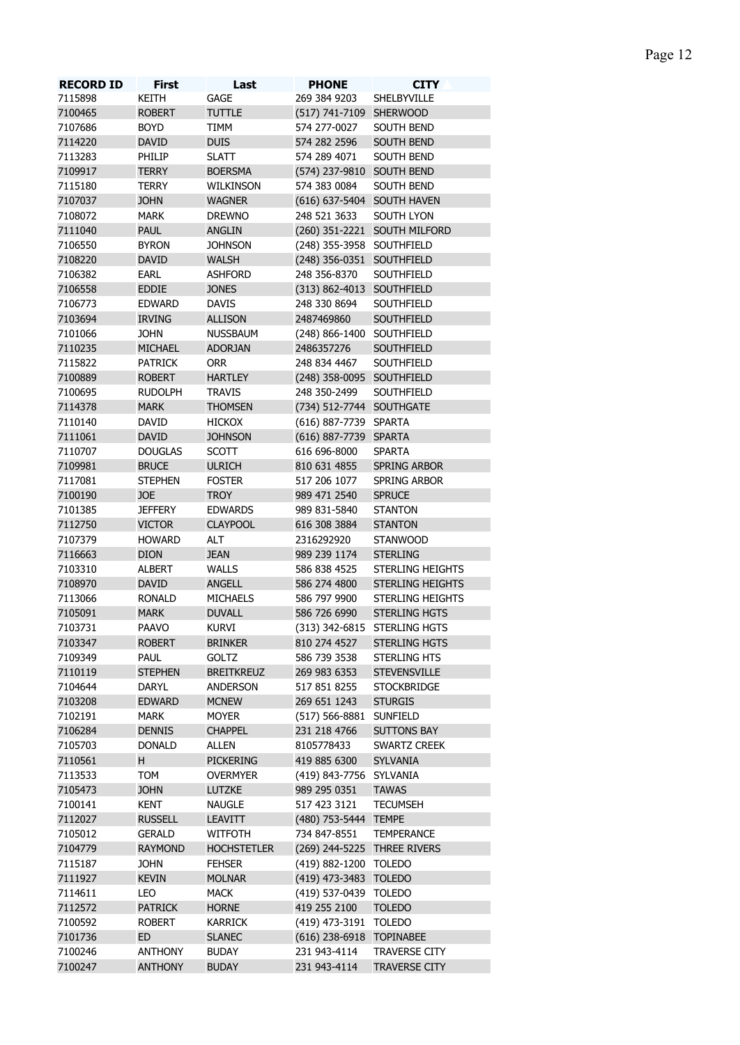| <b>RECORD ID</b> | <b>First</b>   | Last               | <b>PHONE</b>                | <b>CITY</b>                  |
|------------------|----------------|--------------------|-----------------------------|------------------------------|
| 7115898          | KEITH          | GAGE               | 269 384 9203                | SHELBYVILLE                  |
| 7100465          | <b>ROBERT</b>  | <b>TUTTLE</b>      | (517) 741-7109 SHERWOOD     |                              |
| 7107686          | <b>BOYD</b>    | TIMM               | 574 277-0027                | SOUTH BEND                   |
| 7114220          | <b>DAVID</b>   | <b>DUIS</b>        | 574 282 2596                | SOUTH BEND                   |
| 7113283          | PHILIP         | <b>SLATT</b>       | 574 289 4071                | SOUTH BEND                   |
| 7109917          | <b>TERRY</b>   | <b>BOERSMA</b>     | (574) 237-9810 SOUTH BEND   |                              |
| 7115180          | <b>TERRY</b>   | WILKINSON          | 574 383 0084                | SOUTH BEND                   |
| 7107037          | <b>JOHN</b>    | <b>WAGNER</b>      | (616) 637-5404 SOUTH HAVEN  |                              |
| 7108072          | <b>MARK</b>    | <b>DREWNO</b>      | 248 521 3633                | <b>SOUTH LYON</b>            |
| 7111040          | <b>PAUL</b>    | ANGLIN             |                             | (260) 351-2221 SOUTH MILFORD |
| 7106550          | <b>BYRON</b>   | <b>JOHNSON</b>     | (248) 355-3958 SOUTHFIELD   |                              |
| 7108220          |                |                    |                             |                              |
|                  | <b>DAVID</b>   | <b>WALSH</b>       | (248) 356-0351 SOUTHFIELD   |                              |
| 7106382          | EARL           | <b>ASHFORD</b>     | 248 356-8370                | SOUTHFIELD                   |
| 7106558          | <b>EDDIE</b>   | <b>JONES</b>       | (313) 862-4013 SOUTHFIELD   |                              |
| 7106773          | <b>EDWARD</b>  | <b>DAVIS</b>       | 248 330 8694                | SOUTHFIELD                   |
| 7103694          | <b>IRVING</b>  | <b>ALLISON</b>     | 2487469860                  | <b>SOUTHFIELD</b>            |
| 7101066          | <b>JOHN</b>    | <b>NUSSBAUM</b>    | (248) 866-1400 SOUTHFIELD   |                              |
| 7110235          | <b>MICHAEL</b> | <b>ADORJAN</b>     | 2486357276                  | SOUTHFIELD                   |
| 7115822          | <b>PATRICK</b> | <b>ORR</b>         | 248 834 4467                | SOUTHFIELD                   |
| 7100889          | <b>ROBERT</b>  | <b>HARTLEY</b>     | (248) 358-0095 SOUTHFIELD   |                              |
| 7100695          | rudolph        | <b>TRAVIS</b>      | 248 350-2499                | SOUTHFIELD                   |
| 7114378          | <b>MARK</b>    | <b>THOMSEN</b>     | (734) 512-7744 SOUTHGATE    |                              |
| 7110140          | DAVID          | <b>HICKOX</b>      | (616) 887-7739 SPARTA       |                              |
| 7111061          | <b>DAVID</b>   | <b>JOHNSON</b>     | (616) 887-7739 SPARTA       |                              |
| 7110707          | <b>DOUGLAS</b> | <b>SCOTT</b>       | 616 696-8000                | <b>SPARTA</b>                |
| 7109981          | <b>BRUCE</b>   | <b>ULRICH</b>      | 810 631 4855                | SPRING ARBOR                 |
| 7117081          | <b>STEPHEN</b> | <b>FOSTER</b>      | 517 206 1077                | SPRING ARBOR                 |
|                  |                |                    |                             |                              |
| 7100190          | <b>JOE</b>     | <b>TROY</b>        | 989 471 2540                | <b>SPRUCE</b>                |
| 7101385          | <b>JEFFERY</b> | <b>EDWARDS</b>     | 989 831-5840                | <b>STANTON</b>               |
| 7112750          | <b>VICTOR</b>  | <b>CLAYPOOL</b>    | 616 308 3884                | <b>STANTON</b>               |
| 7107379          | <b>HOWARD</b>  | <b>ALT</b>         | 2316292920                  | <b>STANWOOD</b>              |
| 7116663          | <b>DION</b>    | <b>JEAN</b>        | 989 239 1174                | <b>STERLING</b>              |
| 7103310          | <b>ALBERT</b>  | <b>WALLS</b>       | 586 838 4525                | STERLING HEIGHTS             |
| 7108970          | <b>DAVID</b>   | <b>ANGELL</b>      | 586 274 4800                | <b>STERLING HEIGHTS</b>      |
| 7113066          | <b>RONALD</b>  | <b>MICHAELS</b>    | 586 797 9900                | STERLING HEIGHTS             |
| 7105091          | <b>MARK</b>    | <b>DUVALL</b>      | 586 726 6990                | <b>STERLING HGTS</b>         |
| 7103731          | <b>PAAVO</b>   | <b>KURVI</b>       |                             | (313) 342-6815 STERLING HGTS |
| 7103347          | <b>ROBERT</b>  | <b>BRINKER</b>     | 810 274 4527                | <b>STERLING HGTS</b>         |
| 7109349          | PAUL           | <b>GOLTZ</b>       | 586 739 3538                | STERLING HTS                 |
| 7110119          | <b>STEPHEN</b> | <b>BREITKREUZ</b>  | 269 983 6353                | <b>STEVENSVILLE</b>          |
| 7104644          |                |                    |                             | <b>STOCKBRIDGE</b>           |
|                  | <b>DARYL</b>   | <b>ANDERSON</b>    | 517 851 8255                |                              |
| 7103208          | <b>EDWARD</b>  | <b>MCNEW</b>       | 269 651 1243                | <b>STURGIS</b>               |
| 7102191          | <b>MARK</b>    | <b>MOYER</b>       | (517) 566-8881 SUNFIELD     |                              |
| 7106284          | <b>DENNIS</b>  | <b>CHAPPEL</b>     | 231 218 4766                | <b>SUTTONS BAY</b>           |
| 7105703          | <b>DONALD</b>  | <b>ALLEN</b>       | 8105778433                  | SWARTZ CREEK                 |
| 7110561          | H.             | PICKERING          | 419 885 6300                | <b>SYLVANIA</b>              |
| 7113533          | <b>TOM</b>     | <b>OVERMYER</b>    | (419) 843-7756 SYLVANIA     |                              |
| 7105473          | <b>JOHN</b>    | LUTZKE             | 989 295 0351                | <b>TAWAS</b>                 |
| 7100141          | <b>KENT</b>    | <b>NAUGLE</b>      | 517 423 3121                | <b>TECUMSEH</b>              |
| 7112027          | <b>RUSSELL</b> | <b>LEAVITT</b>     | (480) 753-5444 TEMPE        |                              |
| 7105012          | <b>GERALD</b>  | <b>WITFOTH</b>     | 734 847-8551                | <b>TEMPERANCE</b>            |
| 7104779          | <b>RAYMOND</b> | <b>HOCHSTETLER</b> | (269) 244-5225 THREE RIVERS |                              |
| 7115187          | <b>JOHN</b>    | <b>FEHSER</b>      | (419) 882-1200 TOLEDO       |                              |
| 7111927          | <b>KEVIN</b>   | <b>MOLNAR</b>      | (419) 473-3483 TOLEDO       |                              |
|                  |                |                    |                             |                              |
| 7114611          | LEO            | <b>MACK</b>        | (419) 537-0439 TOLEDO       |                              |
| 7112572          | <b>PATRICK</b> | <b>HORNE</b>       | 419 255 2100                | <b>TOLEDO</b>                |
| 7100592          | <b>ROBERT</b>  | <b>KARRICK</b>     | (419) 473-3191 TOLEDO       |                              |
| 7101736          | ED             | <b>SLANEC</b>      | (616) 238-6918 TOPINABEE    |                              |
| 7100246          | <b>ANTHONY</b> | <b>BUDAY</b>       | 231 943-4114                | TRAVERSE CITY                |
| 7100247          | <b>ANTHONY</b> | <b>BUDAY</b>       | 231 943-4114                | <b>TRAVERSE CITY</b>         |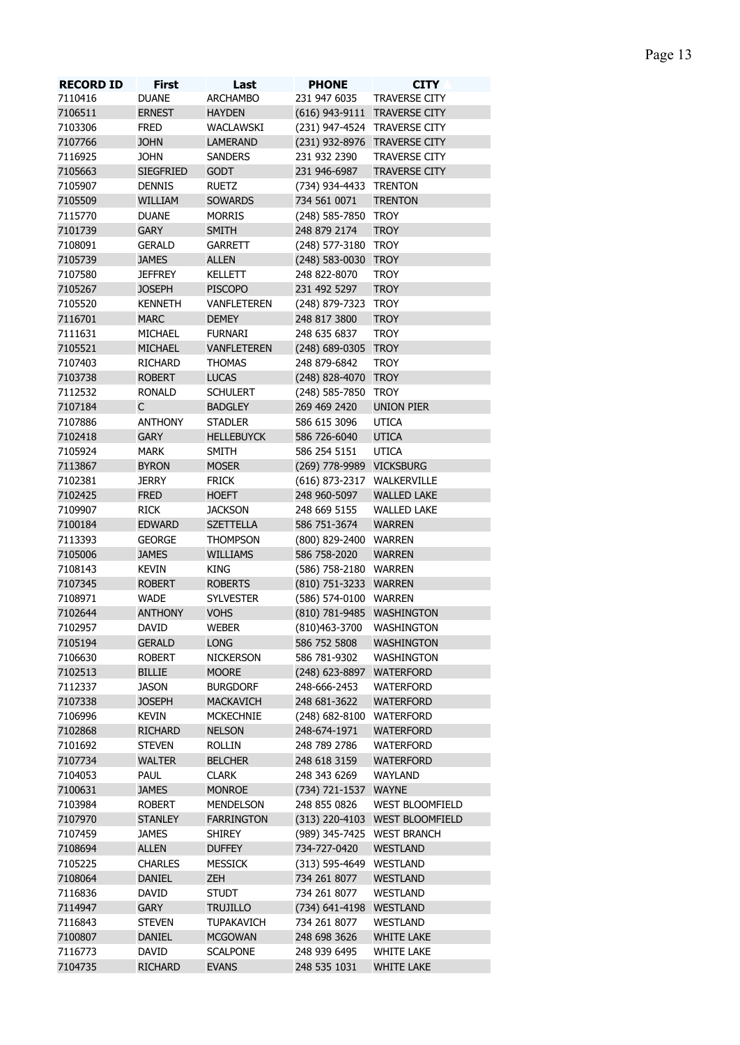| <b>RECORD ID</b> | <b>First</b>     | Last               | <b>PHONE</b>               | <b>CITY</b>                    |
|------------------|------------------|--------------------|----------------------------|--------------------------------|
| 7110416          | <b>DUANE</b>     | <b>ARCHAMBO</b>    | 231 947 6035               | <b>TRAVERSE CITY</b>           |
| 7106511          | <b>ERNEST</b>    | <b>HAYDEN</b>      |                            | (616) 943-9111 TRAVERSE CITY   |
| 7103306          | <b>FRED</b>      | WACLAWSKI          |                            | (231) 947-4524 TRAVERSE CITY   |
| 7107766          | <b>JOHN</b>      | <b>LAMERAND</b>    |                            | (231) 932-8976 TRAVERSE CITY   |
| 7116925          | <b>JOHN</b>      | <b>SANDERS</b>     | 231 932 2390               | TRAVERSE CITY                  |
| 7105663          | <b>SIEGFRIED</b> | <b>GODT</b>        | 231 946-6987               | <b>TRAVERSE CITY</b>           |
| 7105907          | <b>DENNIS</b>    | <b>RUETZ</b>       | (734) 934-4433 TRENTON     |                                |
| 7105509          | WILLIAM          | <b>SOWARDS</b>     | 734 561 0071               | <b>TRENTON</b>                 |
| 7115770          | <b>DUANE</b>     | <b>MORRIS</b>      | (248) 585-7850 TROY        |                                |
| 7101739          | <b>GARY</b>      | <b>SMITH</b>       | 248 879 2174               | <b>TROY</b>                    |
| 7108091          | <b>GERALD</b>    | GARRETT            | (248) 577-3180 TROY        |                                |
| 7105739          | <b>JAMES</b>     | <b>ALLEN</b>       | (248) 583-0030 TROY        |                                |
| 7107580          | <b>JEFFREY</b>   | <b>KELLETT</b>     | 248 822-8070               | <b>TROY</b>                    |
| 7105267          | <b>JOSEPH</b>    | <b>PISCOPO</b>     | 231 492 5297               | <b>TROY</b>                    |
| 7105520          | <b>KENNETH</b>   | <b>VANFLETEREN</b> | (248) 879-7323             | TROY                           |
| 7116701          | <b>MARC</b>      | <b>DEMEY</b>       | 248 817 3800               | <b>TROY</b>                    |
|                  |                  |                    | 248 635 6837               |                                |
| 7111631          | MICHAEL          | <b>FURNARI</b>     |                            | <b>TROY</b>                    |
| 7105521          | <b>MICHAEL</b>   | <b>VANFLETEREN</b> | (248) 689-0305 TROY        |                                |
| 7107403          | <b>RICHARD</b>   | <b>THOMAS</b>      | 248 879-6842               | <b>TROY</b>                    |
| 7103738          | <b>ROBERT</b>    | <b>LUCAS</b>       | (248) 828-4070 TROY        |                                |
| 7112532          | <b>RONALD</b>    | <b>SCHULERT</b>    | (248) 585-7850 TROY        |                                |
| 7107184          | $\mathsf{C}$     | <b>BADGLEY</b>     | 269 469 2420               | <b>UNION PIER</b>              |
| 7107886          | <b>ANTHONY</b>   | <b>STADLER</b>     | 586 615 3096               | <b>UTICA</b>                   |
| 7102418          | <b>GARY</b>      | <b>HELLEBUYCK</b>  | 586 726-6040               | <b>UTICA</b>                   |
| 7105924          | MARK             | <b>SMITH</b>       | 586 254 5151               | <b>UTICA</b>                   |
| 7113867          | <b>BYRON</b>     | <b>MOSER</b>       | (269) 778-9989 VICKSBURG   |                                |
| 7102381          | <b>JERRY</b>     | <b>FRICK</b>       | (616) 873-2317 WALKERVILLE |                                |
| 7102425          | <b>FRED</b>      | <b>HOEFT</b>       | 248 960-5097               | <b>WALLED LAKE</b>             |
| 7109907          | <b>RICK</b>      | <b>JACKSON</b>     | 248 669 5155               | <b>WALLED LAKE</b>             |
| 7100184          | <b>EDWARD</b>    | <b>SZETTELLA</b>   | 586 751-3674               | <b>WARREN</b>                  |
| 7113393          | <b>GEORGE</b>    | <b>THOMPSON</b>    | (800) 829-2400 WARREN      |                                |
| 7105006          | <b>JAMES</b>     | WILLIAMS           | 586 758-2020               | <b>WARREN</b>                  |
| 7108143          | <b>KEVIN</b>     | <b>KING</b>        |                            |                                |
|                  |                  |                    | (586) 758-2180 WARREN      |                                |
| 7107345          | <b>ROBERT</b>    | <b>ROBERTS</b>     | (810) 751-3233 WARREN      |                                |
| 7108971          | <b>WADE</b>      | <b>SYLVESTER</b>   | (586) 574-0100 WARREN      |                                |
| 7102644          | <b>ANTHONY</b>   | <b>VOHS</b>        | (810) 781-9485 WASHINGTON  |                                |
| 7102957          | DAVID            | <b>WEBER</b>       | (810)463-3700 WASHINGTON   |                                |
| 7105194          | <b>GERALD</b>    | <b>LONG</b>        | 586 752 5808               | <b>WASHINGTON</b>              |
| 7106630          | <b>ROBERT</b>    | <b>NICKERSON</b>   | 586 781-9302               | WASHINGTON                     |
| 7102513          | <b>BILLIE</b>    | <b>MOORE</b>       | (248) 623-8897             | <b>WATERFORD</b>               |
| 7112337          | <b>JASON</b>     | <b>BURGDORF</b>    | 248-666-2453               | WATERFORD                      |
| 7107338          | <b>JOSEPH</b>    | <b>MACKAVICH</b>   | 248 681-3622               | <b>WATERFORD</b>               |
| 7106996          | <b>KEVIN</b>     | <b>MCKECHNIE</b>   | $(248)$ 682-8100           | WATERFORD                      |
| 7102868          | <b>RICHARD</b>   | <b>NELSON</b>      | 248-674-1971               | <b>WATERFORD</b>               |
| 7101692          | <b>STEVEN</b>    | <b>ROLLIN</b>      | 248 789 2786               | WATERFORD                      |
| 7107734          | <b>WALTER</b>    | <b>BELCHER</b>     | 248 618 3159               | <b>WATERFORD</b>               |
| 7104053          | PAUL             | <b>CLARK</b>       | 248 343 6269               | WAYLAND                        |
| 7100631          | <b>JAMES</b>     | <b>MONROE</b>      |                            |                                |
|                  |                  |                    | (734) 721-1537 WAYNE       |                                |
| 7103984          | <b>ROBERT</b>    | <b>MENDELSON</b>   | 248 855 0826               | <b>WEST BLOOMFIELD</b>         |
| 7107970          | <b>STANLEY</b>   | <b>FARRINGTON</b>  |                            | (313) 220-4103 WEST BLOOMFIELD |
| 7107459          | <b>JAMES</b>     | <b>SHIREY</b>      | (989) 345-7425 WEST BRANCH |                                |
| 7108694          | <b>ALLEN</b>     | <b>DUFFEY</b>      | 734-727-0420               | <b>WESTLAND</b>                |
| 7105225          | <b>CHARLES</b>   | <b>MESSICK</b>     | (313) 595-4649 WESTLAND    |                                |
| 7108064          | <b>DANIEL</b>    | ZEH                | 734 261 8077               | <b>WESTLAND</b>                |
| 7116836          | DAVID            | <b>STUDT</b>       | 734 261 8077               | <b>WESTLAND</b>                |
| 7114947          | <b>GARY</b>      | <b>TRUJILLO</b>    | (734) 641-4198             | WESTLAND                       |
| 7116843          | <b>STEVEN</b>    | <b>TUPAKAVICH</b>  | 734 261 8077               | <b>WESTLAND</b>                |
| 7100807          | <b>DANIEL</b>    | <b>MCGOWAN</b>     | 248 698 3626               | <b>WHITE LAKE</b>              |
| 7116773          | DAVID            | <b>SCALPONE</b>    | 248 939 6495               | <b>WHITE LAKE</b>              |
|                  |                  |                    |                            |                                |

RICHARD EVANS 248 535 1031 WHITE LAKE